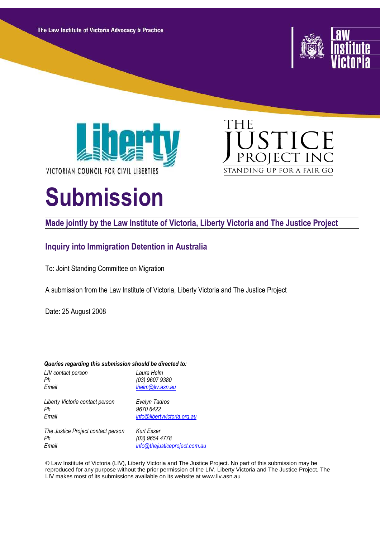The Law Institute of Victoria Advocacy & Practice







# **Submission**

# **Made jointly by the Law Institute of Victoria, Liberty Victoria and The Justice Project**

# **Inquiry into Immigration Detention in Australia**

To: Joint Standing Committee on Migration

A submission from the Law Institute of Victoria, Liberty Victoria and The Justice Project

Date: 25 August 2008

| Queries regarding this submission should be directed to: |                               |  |  |  |
|----------------------------------------------------------|-------------------------------|--|--|--|
| LIV contact person                                       | Laura Helm                    |  |  |  |
| Ph                                                       | (03) 9607 9380                |  |  |  |
| Email                                                    | lhelm@liv.asn.au              |  |  |  |
| Liberty Victoria contact person                          | Evelyn Tadros                 |  |  |  |
| Ph                                                       | 9670 6422                     |  |  |  |
| Email                                                    | info@libertyvictoria.org.au   |  |  |  |
| The Justice Project contact person                       | Kurt Esser                    |  |  |  |
| Ph                                                       | (03) 9654 4778                |  |  |  |
| Email                                                    | info@thejusticeproject.com.au |  |  |  |

© Law Institute of Victoria (LIV), Liberty Victoria and The Justice Project. No part of this submission may be reproduced for any purpose without the prior permission of the LIV, Liberty Victoria and The Justice Project. The LIV makes most of its submissions available on its website at www.liv.asn.au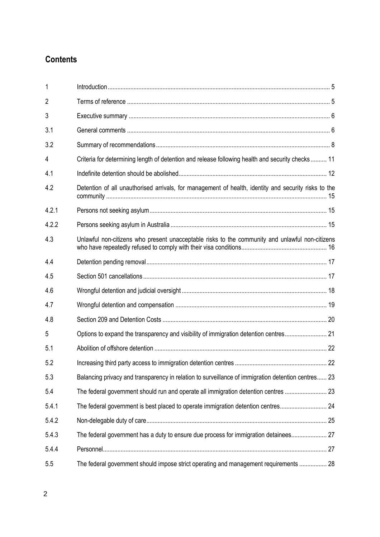# **Contents**

| 1              |                                                                                                      |  |
|----------------|------------------------------------------------------------------------------------------------------|--|
| $\overline{2}$ |                                                                                                      |  |
| 3              |                                                                                                      |  |
| 3.1            |                                                                                                      |  |
| 3.2            |                                                                                                      |  |
| 4              | Criteria for determining length of detention and release following health and security checks 11     |  |
| 4.1            |                                                                                                      |  |
| 4.2            | Detention of all unauthorised arrivals, for management of health, identity and security risks to the |  |
| 4.2.1          |                                                                                                      |  |
| 4.2.2          |                                                                                                      |  |
| 4.3            | Unlawful non-citizens who present unacceptable risks to the community and unlawful non-citizens      |  |
| 4.4            |                                                                                                      |  |
| 4.5            |                                                                                                      |  |
| 4.6            |                                                                                                      |  |
| 4.7            |                                                                                                      |  |
| 4.8            |                                                                                                      |  |
| 5              | Options to expand the transparency and visibility of immigration detention centres 21                |  |
| 5.1            |                                                                                                      |  |
| 5.2            |                                                                                                      |  |
| 5.3            | Balancing privacy and transparency in relation to surveillance of immigration detention centres 23   |  |
| 5.4            |                                                                                                      |  |
| 5.4.1          | The federal government is best placed to operate immigration detention centres 24                    |  |
| 5.4.2          |                                                                                                      |  |
| 5.4.3          | The federal government has a duty to ensure due process for immigration detainees 27                 |  |
| 5.4.4          |                                                                                                      |  |
| 5.5            | The federal government should impose strict operating and management requirements  28                |  |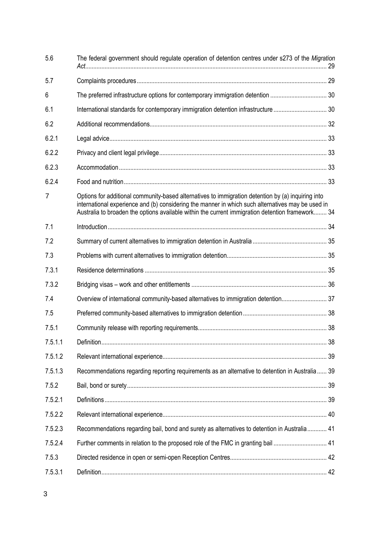| 5.6     | The federal government should regulate operation of detention centres under s273 of the Migration                                                                                                                                                                                                           |  |
|---------|-------------------------------------------------------------------------------------------------------------------------------------------------------------------------------------------------------------------------------------------------------------------------------------------------------------|--|
| 5.7     |                                                                                                                                                                                                                                                                                                             |  |
| 6       |                                                                                                                                                                                                                                                                                                             |  |
| 6.1     |                                                                                                                                                                                                                                                                                                             |  |
| 6.2     |                                                                                                                                                                                                                                                                                                             |  |
| 6.2.1   |                                                                                                                                                                                                                                                                                                             |  |
| 6.2.2   |                                                                                                                                                                                                                                                                                                             |  |
| 6.2.3   |                                                                                                                                                                                                                                                                                                             |  |
| 6.2.4   |                                                                                                                                                                                                                                                                                                             |  |
| 7       | Options for additional community-based alternatives to immigration detention by (a) inquiring into<br>international experience and (b) considering the manner in which such alternatives may be used in<br>Australia to broaden the options available within the current immigration detention framework 34 |  |
| 7.1     |                                                                                                                                                                                                                                                                                                             |  |
| 7.2     |                                                                                                                                                                                                                                                                                                             |  |
| 7.3     |                                                                                                                                                                                                                                                                                                             |  |
| 7.3.1   |                                                                                                                                                                                                                                                                                                             |  |
| 7.3.2   |                                                                                                                                                                                                                                                                                                             |  |
| 7.4     | Overview of international community-based alternatives to immigration detention 37                                                                                                                                                                                                                          |  |
| 7.5     |                                                                                                                                                                                                                                                                                                             |  |
| 7.5.1   |                                                                                                                                                                                                                                                                                                             |  |
| 7.5.1.1 |                                                                                                                                                                                                                                                                                                             |  |
| 7.5.1.2 |                                                                                                                                                                                                                                                                                                             |  |
| 7.5.1.3 | Recommendations regarding reporting requirements as an alternative to detention in Australia 39                                                                                                                                                                                                             |  |
| 7.5.2   |                                                                                                                                                                                                                                                                                                             |  |
| 7.5.2.1 |                                                                                                                                                                                                                                                                                                             |  |
| 7.5.2.2 |                                                                                                                                                                                                                                                                                                             |  |
| 7.5.2.3 | Recommendations regarding bail, bond and surety as alternatives to detention in Australia 41                                                                                                                                                                                                                |  |
| 7.5.2.4 | Further comments in relation to the proposed role of the FMC in granting bail  41                                                                                                                                                                                                                           |  |
| 7.5.3   |                                                                                                                                                                                                                                                                                                             |  |
| 7.5.3.1 |                                                                                                                                                                                                                                                                                                             |  |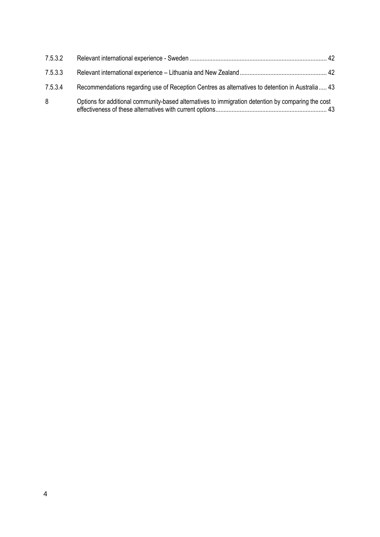| 7.5.3.2 |                                                                                                    |  |
|---------|----------------------------------------------------------------------------------------------------|--|
| 7.5.3.3 |                                                                                                    |  |
| 7.5.3.4 | Recommendations regarding use of Reception Centres as alternatives to detention in Australia 43    |  |
| 8       | Options for additional community-based alternatives to immigration detention by comparing the cost |  |

effectiveness of these alternatives with current options..................................................................... 43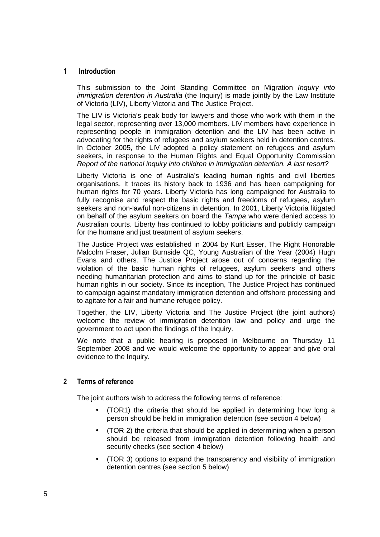# **1 Introduction**

This submission to the Joint Standing Committee on Migration *Inquiry into* immigration detention in Australia (the Inquiry) is made jointly by the Law Institute of Victoria (LIV), Liberty Victoria and The Justice Project.

The LIV is Victoria's peak body for lawyers and those who work with them in the legal sector, representing over 13,000 members. LIV members have experience in representing people in immigration detention and the LIV has been active in advocating for the rights of refugees and asylum seekers held in detention centres. In October 2005, the LIV adopted a policy statement on refugees and asylum seekers, in response to the Human Rights and Equal Opportunity Commission Report of the national inquiry into children in immigration detention. A last resort?

Liberty Victoria is one of Australia's leading human rights and civil liberties organisations. It traces its history back to 1936 and has been campaigning for human rights for 70 years. Liberty Victoria has long campaigned for Australia to fully recognise and respect the basic rights and freedoms of refugees, asylum seekers and non-lawful non-citizens in detention. In 2001, Liberty Victoria litigated on behalf of the asylum seekers on board the Tampa who were denied access to Australian courts. Liberty has continued to lobby politicians and publicly campaign for the humane and just treatment of asylum seekers.

The Justice Project was established in 2004 by Kurt Esser, The Right Honorable Malcolm Fraser, Julian Burnside QC, Young Australian of the Year (2004) Hugh Evans and others. The Justice Project arose out of concerns regarding the violation of the basic human rights of refugees, asylum seekers and others needing humanitarian protection and aims to stand up for the principle of basic human rights in our society. Since its inception, The Justice Project has continued to campaign against mandatory immigration detention and offshore processing and to agitate for a fair and humane refugee policy.

Together, the LIV, Liberty Victoria and The Justice Project (the joint authors) welcome the review of immigration detention law and policy and urge the government to act upon the findings of the Inquiry.

We note that a public hearing is proposed in Melbourne on Thursday 11 September 2008 and we would welcome the opportunity to appear and give oral evidence to the Inquiry.

# **2 Terms of reference**

The joint authors wish to address the following terms of reference:

- (TOR1) the criteria that should be applied in determining how long a person should be held in immigration detention (see section 4 below)
- (TOR 2) the criteria that should be applied in determining when a person should be released from immigration detention following health and security checks (see section 4 below)
- (TOR 3) options to expand the transparency and visibility of immigration detention centres (see section 5 below)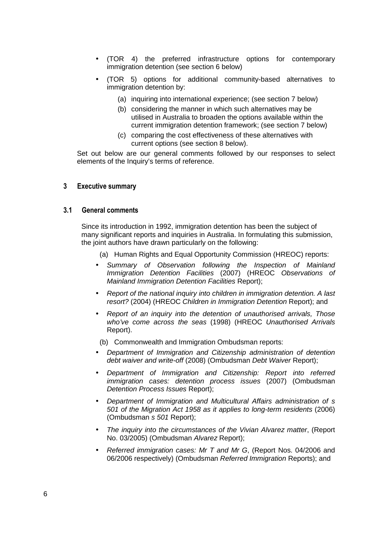- (TOR 4) the preferred infrastructure options for contemporary immigration detention (see section 6 below)
- (TOR 5) options for additional community-based alternatives to immigration detention by:
	- (a) inquiring into international experience; (see section 7 below)
	- (b) considering the manner in which such alternatives may be utilised in Australia to broaden the options available within the current immigration detention framework; (see section 7 below)
	- (c) comparing the cost effectiveness of these alternatives with current options (see section 8 below).

Set out below are our general comments followed by our responses to select elements of the Inquiry's terms of reference.

# **3 Executive summary**

#### **3.1 General comments**

Since its introduction in 1992, immigration detention has been the subject of many significant reports and inquiries in Australia. In formulating this submission, the joint authors have drawn particularly on the following:

- (a) Human Rights and Equal Opportunity Commission (HREOC) reports:
- Summary of Observation following the Inspection of Mainland Immigration Detention Facilities (2007) (HREOC Observations of Mainland Immigration Detention Facilities Report);
- Report of the national inquiry into children in immigration detention. A last resort? (2004) (HREOC Children in Immigration Detention Report); and
- Report of an inquiry into the detention of unauthorised arrivals, Those who've come across the seas (1998) (HREOC Unauthorised Arrivals Report).

(b) Commonwealth and Immigration Ombudsman reports:

- Department of Immigration and Citizenship administration of detention debt waiver and write-off (2008) (Ombudsman Debt Waiver Report);
- Department of Immigration and Citizenship: Report into referred immigration cases: detention process issues (2007) (Ombudsman Detention Process Issues Report);
- Department of Immigration and Multicultural Affairs administration of s 501 of the Migration Act 1958 as it applies to long-term residents (2006) (Ombudsman s 501 Report);
- The inquiry into the circumstances of the Vivian Alvarez matter, (Report No. 03/2005) (Ombudsman Alvarez Report);
- Referred immigration cases: Mr T and Mr G, (Report Nos. 04/2006 and 06/2006 respectively) (Ombudsman Referred Immigration Reports); and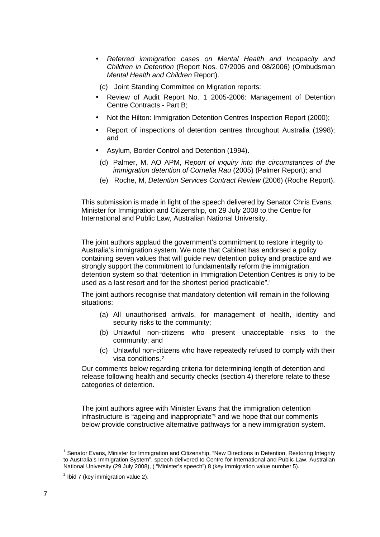• Referred immigration cases on Mental Health and Incapacity and Children in Detention (Report Nos. 07/2006 and 08/2006) (Ombudsman Mental Health and Children Report).

(c) Joint Standing Committee on Migration reports:

- Review of Audit Report No. 1 2005-2006: Management of Detention Centre Contracts - Part B;
- Not the Hilton: Immigration Detention Centres Inspection Report (2000);
- Report of inspections of detention centres throughout Australia (1998); and
- Asylum, Border Control and Detention (1994).
	- (d) Palmer, M, AO APM, Report of inquiry into the circumstances of the immigration detention of Cornelia Rau (2005) (Palmer Report); and
	- (e) Roche, M, Detention Services Contract Review (2006) (Roche Report).

This submission is made in light of the speech delivered by Senator Chris Evans, Minister for Immigration and Citizenship, on 29 July 2008 to the Centre for International and Public Law, Australian National University.

The joint authors applaud the government's commitment to restore integrity to Australia's immigration system. We note that Cabinet has endorsed a policy containing seven values that will guide new detention policy and practice and we strongly support the commitment to fundamentally reform the immigration detention system so that "detention in Immigration Detention Centres is only to be used as a last resort and for the shortest period practicable".<sup>1</sup>

The joint authors recognise that mandatory detention will remain in the following situations:

- (a) All unauthorised arrivals, for management of health, identity and security risks to the community;
- (b) Unlawful non-citizens who present unacceptable risks to the community; and
- (c) Unlawful non-citizens who have repeatedly refused to comply with their visa conditions.<sup>2</sup>

Our comments below regarding criteria for determining length of detention and release following health and security checks (section 4) therefore relate to these categories of detention.

The joint authors agree with Minister Evans that the immigration detention infrastructure is "ageing and inappropriate"<sup>3</sup> and we hope that our comments below provide constructive alternative pathways for a new immigration system.

<sup>&</sup>lt;sup>1</sup> Senator Evans, Minister for Immigration and Citizenship, "New Directions in Detention, Restoring Integrity to Australia's Immigration System", speech delivered to Centre for International and Public Law, Australian National University (29 July 2008), ( "Minister's speech") 8 (key immigration value number 5).

 $2$  Ibid 7 (key immigration value 2).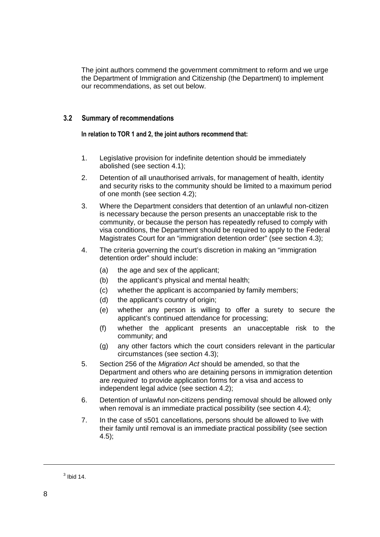The joint authors commend the government commitment to reform and we urge the Department of Immigration and Citizenship (the Department) to implement our recommendations, as set out below.

# **3.2 Summary of recommendations**

## **In relation to TOR 1 and 2, the joint authors recommend that:**

- 1. Legislative provision for indefinite detention should be immediately abolished (see section 4.1);
- 2. Detention of all unauthorised arrivals, for management of health, identity and security risks to the community should be limited to a maximum period of one month (see section 4.2);
- 3. Where the Department considers that detention of an unlawful non-citizen is necessary because the person presents an unacceptable risk to the community, or because the person has repeatedly refused to comply with visa conditions, the Department should be required to apply to the Federal Magistrates Court for an "immigration detention order" (see section 4.3);
- 4. The criteria governing the court's discretion in making an "immigration detention order" should include:
	- (a) the age and sex of the applicant;
	- (b) the applicant's physical and mental health;
	- (c) whether the applicant is accompanied by family members;
	- (d) the applicant's country of origin;
	- (e) whether any person is willing to offer a surety to secure the applicant's continued attendance for processing;
	- (f) whether the applicant presents an unacceptable risk to the community; and
	- (g) any other factors which the court considers relevant in the particular circumstances (see section 4.3);
- 5. Section 256 of the Migration Act should be amended, so that the Department and others who are detaining persons in immigration detention are required to provide application forms for a visa and access to independent legal advice (see section 4.2);
- 6. Detention of unlawful non-citizens pending removal should be allowed only when removal is an immediate practical possibility (see section 4.4);
- 7. In the case of s501 cancellations, persons should be allowed to live with their family until removal is an immediate practical possibility (see section 4.5);

 $3$  Ibid 14.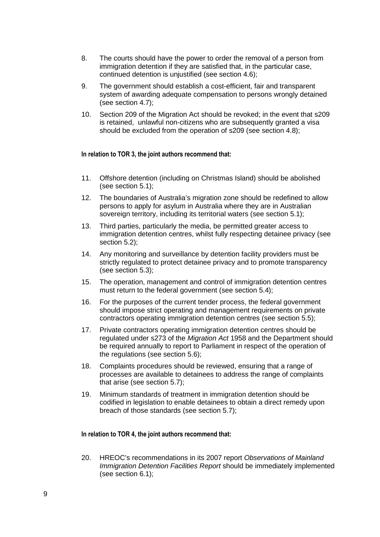- 8. The courts should have the power to order the removal of a person from immigration detention if they are satisfied that, in the particular case, continued detention is unjustified (see section 4.6);
- 9. The government should establish a cost-efficient, fair and transparent system of awarding adequate compensation to persons wrongly detained (see section 4.7);
- 10. Section 209 of the Migration Act should be revoked; in the event that s209 is retained, unlawful non-citizens who are subsequently granted a visa should be excluded from the operation of s209 (see section 4.8);

#### **In relation to TOR 3, the joint authors recommend that:**

- 11. Offshore detention (including on Christmas Island) should be abolished (see section 5.1);
- 12. The boundaries of Australia's migration zone should be redefined to allow persons to apply for asylum in Australia where they are in Australian sovereign territory, including its territorial waters (see section 5.1);
- 13. Third parties, particularly the media, be permitted greater access to immigration detention centres, whilst fully respecting detainee privacy (see section 5.2);
- 14. Any monitoring and surveillance by detention facility providers must be strictly regulated to protect detainee privacy and to promote transparency (see section 5.3);
- 15. The operation, management and control of immigration detention centres must return to the federal government (see section 5.4);
- 16. For the purposes of the current tender process, the federal government should impose strict operating and management requirements on private contractors operating immigration detention centres (see section 5.5);
- 17. Private contractors operating immigration detention centres should be regulated under s273 of the Migration Act 1958 and the Department should be required annually to report to Parliament in respect of the operation of the regulations (see section 5.6);
- 18. Complaints procedures should be reviewed, ensuring that a range of processes are available to detainees to address the range of complaints that arise (see section 5.7);
- 19. Minimum standards of treatment in immigration detention should be codified in legislation to enable detainees to obtain a direct remedy upon breach of those standards (see section 5.7);

#### **In relation to TOR 4, the joint authors recommend that:**

20. HREOC's recommendations in its 2007 report Observations of Mainland Immigration Detention Facilities Report should be immediately implemented (see section 6.1);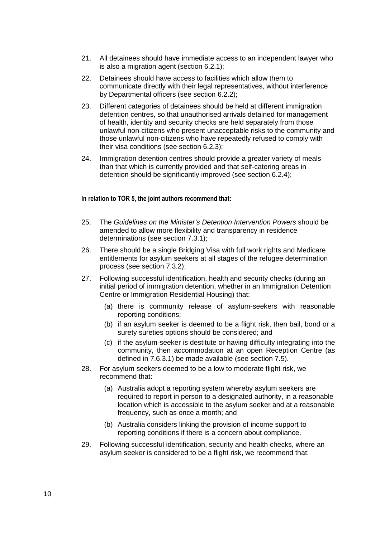- 21. All detainees should have immediate access to an independent lawyer who is also a migration agent (section 6.2.1);
- 22. Detainees should have access to facilities which allow them to communicate directly with their legal representatives, without interference by Departmental officers (see section 6.2.2);
- 23. Different categories of detainees should be held at different immigration detention centres, so that unauthorised arrivals detained for management of health, identity and security checks are held separately from those unlawful non-citizens who present unacceptable risks to the community and those unlawful non-citizens who have repeatedly refused to comply with their visa conditions (see section 6.2.3);
- 24. Immigration detention centres should provide a greater variety of meals than that which is currently provided and that self-catering areas in detention should be significantly improved (see section 6.2.4);

# **In relation to TOR 5, the joint authors recommend that:**

- 25. The Guidelines on the Minister's Detention Intervention Powers should be amended to allow more flexibility and transparency in residence determinations (see section 7.3.1);
- 26. There should be a single Bridging Visa with full work rights and Medicare entitlements for asylum seekers at all stages of the refugee determination process (see section 7.3.2);
- 27. Following successful identification, health and security checks (during an initial period of immigration detention, whether in an Immigration Detention Centre or Immigration Residential Housing) that:
	- (a) there is community release of asylum-seekers with reasonable reporting conditions;
	- (b) if an asylum seeker is deemed to be a flight risk, then bail, bond or a surety sureties options should be considered; and
	- (c) if the asylum-seeker is destitute or having difficulty integrating into the community, then accommodation at an open Reception Centre (as defined in 7.6.3.1) be made available (see section 7.5).
- 28. For asylum seekers deemed to be a low to moderate flight risk, we recommend that:
	- (a) Australia adopt a reporting system whereby asylum seekers are required to report in person to a designated authority, in a reasonable location which is accessible to the asylum seeker and at a reasonable frequency, such as once a month; and
	- (b) Australia considers linking the provision of income support to reporting conditions if there is a concern about compliance.
- 29. Following successful identification, security and health checks, where an asylum seeker is considered to be a flight risk, we recommend that: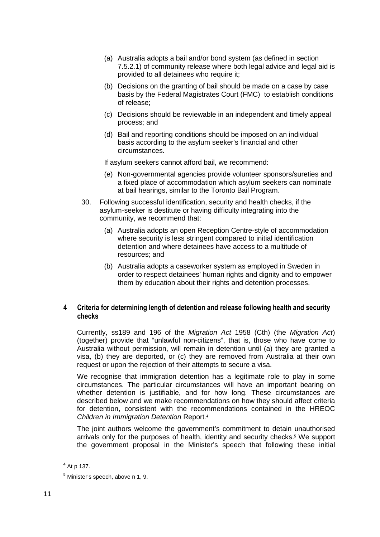- (a) Australia adopts a bail and/or bond system (as defined in section 7.5.2.1) of community release where both legal advice and legal aid is provided to all detainees who require it;
- (b) Decisions on the granting of bail should be made on a case by case basis by the Federal Magistrates Court (FMC) to establish conditions of release;
- (c) Decisions should be reviewable in an independent and timely appeal process; and
- (d) Bail and reporting conditions should be imposed on an individual basis according to the asylum seeker's financial and other circumstances.

If asylum seekers cannot afford bail, we recommend:

- (e) Non-governmental agencies provide volunteer sponsors/sureties and a fixed place of accommodation which asylum seekers can nominate at bail hearings, similar to the Toronto Bail Program.
- 30. Following successful identification, security and health checks, if the asylum-seeker is destitute or having difficulty integrating into the community, we recommend that:
	- (a) Australia adopts an open Reception Centre-style of accommodation where security is less stringent compared to initial identification detention and where detainees have access to a multitude of resources; and
	- (b) Australia adopts a caseworker system as employed in Sweden in order to respect detainees' human rights and dignity and to empower them by education about their rights and detention processes.

# **4 Criteria for determining length of detention and release following health and security checks**

Currently, ss189 and 196 of the Migration Act 1958 (Cth) (the Migration Act) (together) provide that "unlawful non-citizens", that is, those who have come to Australia without permission, will remain in detention until (a) they are granted a visa, (b) they are deported, or (c) they are removed from Australia at their own request or upon the rejection of their attempts to secure a visa.

We recognise that immigration detention has a legitimate role to play in some circumstances. The particular circumstances will have an important bearing on whether detention is justifiable, and for how long. These circumstances are described below and we make recommendations on how they should affect criteria for detention, consistent with the recommendations contained in the HREOC Children in Immigration Detention Report. *4*

The joint authors welcome the government's commitment to detain unauthorised arrivals only for the purposes of health, identity and security checks.<sup>5</sup> We support the government proposal in the Minister's speech that following these initial

 $4$  At p 137.

<sup>&</sup>lt;sup>5</sup> Minister's speech, above n 1, 9.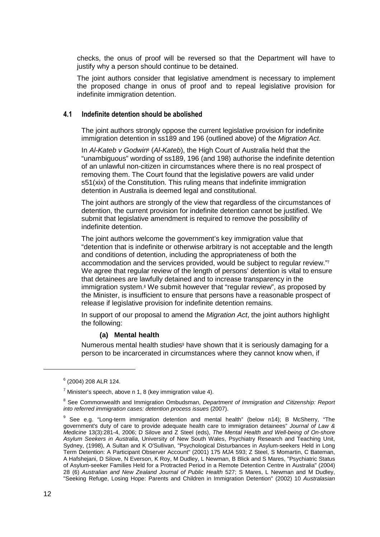checks, the onus of proof will be reversed so that the Department will have to justify why a person should continue to be detained.

The joint authors consider that legislative amendment is necessary to implement the proposed change in onus of proof and to repeal legislative provision for indefinite immigration detention.

#### **4.1 Indefinite detention should be abolished**

The joint authors strongly oppose the current legislative provision for indefinite immigration detention in ss189 and 196 (outlined above) of the Migration Act.

In Al-Kateb v Godwin<sup>®</sup> (Al-Kateb), the High Court of Australia held that the "unambiguous" wording of ss189, 196 (and 198) authorise the indefinite detention of an unlawful non-citizen in circumstances where there is no real prospect of removing them. The Court found that the legislative powers are valid under s51(xix) of the Constitution. This ruling means that indefinite immigration detention in Australia is deemed legal and constitutional.

The joint authors are strongly of the view that regardless of the circumstances of detention, the current provision for indefinite detention cannot be justified. We submit that legislative amendment is required to remove the possibility of indefinite detention.

The joint authors welcome the government's key immigration value that "detention that is indefinite or otherwise arbitrary is not acceptable and the length and conditions of detention, including the appropriateness of both the accommodation and the services provided, would be subject to regular review."<sup>7</sup> We agree that regular review of the length of persons' detention is vital to ensure that detainees are lawfully detained and to increase transparency in the immigration system.<sup>8</sup> We submit however that "regular review", as proposed by the Minister, is insufficient to ensure that persons have a reasonable prospect of release if legislative provision for indefinite detention remains.

In support of our proposal to amend the *Migration Act*, the joint authors highlight the following:

#### **(a) Mental health**

Numerous mental health studies<sup>9</sup> have shown that it is seriously damaging for a person to be incarcerated in circumstances where they cannot know when, if

<sup>6</sup> (2004) 208 ALR 124.

 $^7$  Minister's speech, above n 1, 8 (key immigration value 4).

<sup>&</sup>lt;sup>8</sup> See Commonwealth and Immigration Ombudsman, Department of Immigration and Citizenship: Report into referred immigration cases: detention process issues (2007).

<sup>&</sup>lt;sup>9</sup> See e.g. "Long-term immigration detention and mental health" (below n14); B McSherry, "The government's duty of care to provide adequate health care to immigration detainees" Journal of Law & Medicine 13(3):281-4, 2006; D Silove and Z Steel (eds), The Mental Health and Well-being of On-shore Asylum Seekers in Australia, University of New South Wales, Psychiatry Research and Teaching Unit, Sydney, (1998), A Sultan and K O'Sullivan, "Psychological Disturbances in Asylum-seekers Held in Long Term Detention: A Participant Observer Account" (2001) 175 MJA 593; Z Steel, S Momartin, C Bateman, A Hafshejani, D Silove, N Everson, K Roy, M Dudley, L Newman, B Blick and S Mares, "Psychiatric Status of Asylum-seeker Families Held for a Protracted Period in a Remote Detention Centre in Australia" (2004) 28 (6) Australian and New Zealand Journal of Public Health 527; S Mares, L Newman and M Dudley, "Seeking Refuge, Losing Hope: Parents and Children in Immigration Detention" (2002) 10 Australasian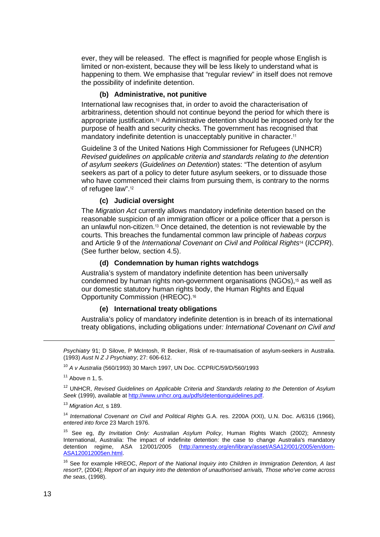ever, they will be released. The effect is magnified for people whose English is limited or non-existent, because they will be less likely to understand what is happening to them. We emphasise that "regular review" in itself does not remove the possibility of indefinite detention.

# **(b) Administrative, not punitive**

International law recognises that, in order to avoid the characterisation of arbitrariness, detention should not continue beyond the period for which there is appropriate justification.10 Administrative detention should be imposed only for the purpose of health and security checks. The government has recognised that mandatory indefinite detention is unacceptably punitive in character.<sup>11</sup>

Guideline 3 of the United Nations High Commissioner for Refugees (UNHCR) Revised guidelines on applicable criteria and standards relating to the detention of asylum seekers (Guidelines on Detention) states: "The detention of asylum seekers as part of a policy to deter future asylum seekers, or to dissuade those who have commenced their claims from pursuing them, is contrary to the norms of refugee law".<sup>12</sup>

# **(c) Judicial oversight**

The Migration Act currently allows mandatory indefinite detention based on the reasonable suspicion of an immigration officer or a police officer that a person is an unlawful non-citizen.13 Once detained, the detention is not reviewable by the courts. This breaches the fundamental common law principle of habeas corpus and Article 9 of the International Covenant on Civil and Political Rights<sup>14</sup> (ICCPR). (See further below, section 4.5).

#### **(d) Condemnation by human rights watchdogs**

Australia's system of mandatory indefinite detention has been universally condemned by human rights non-government organisations (NGOs),15 as well as our domestic statutory human rights body, the Human Rights and Equal Opportunity Commission (HREOC).<sup>16</sup>

#### **(e) International treaty obligations**

Australia's policy of mandatory indefinite detention is in breach of its international treaty obligations, including obligations under: International Covenant on Civil and

<sup>13</sup> Migration Act, s 189.

Psychiatry 91; D Silove, P McIntosh, R Becker, Risk of re-traumatisation of asylum-seekers in Australia. (1993) Aust N Z J Psychiatry; 27: 606-612.

<sup>10</sup> A v Australia (560/1993) 30 March 1997, UN Doc. CCPR/C/59/D/560/1993

 $11$  Above n 1, 5.

<sup>&</sup>lt;sup>12</sup> UNHCR, Revised Guidelines on Applicable Criteria and Standards relating to the Detention of Asylum Seek (1999), available at http://www.unhcr.org.au/pdfs/detentionguidelines.pdf.

<sup>&</sup>lt;sup>14</sup> International Covenant on Civil and Political Rights G.A. res. 2200A (XXI), U.N. Doc. A/6316 (1966), entered into force 23 March 1976.

<sup>&</sup>lt;sup>15</sup> See eg, By Invitation Only: Australian Asylum Policy, Human Rights Watch (2002); Amnesty International, Australia: The impact of indefinite detention: the case to change Australia's mandatory detention regime, ASA 12/001/2005 (http://amnesty.org/en/library/asset/ASA12/001/2005/en/dom-ASA120012005en.html.

<sup>&</sup>lt;sup>16</sup> See for example HREOC, Report of the National Inquiry into Children in Immigration Detention, A last resort?, (2004); Report of an inquiry into the detention of unauthorised arrivals, Those who've come across the seas, (1998).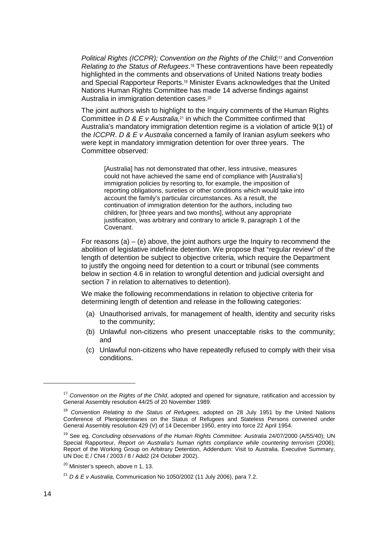Political Rights (ICCPR); Convention on the Rights of the Child;*<sup>17</sup>* and Convention Relating to the Status of Refugees.<sup>18</sup> These contraventions have been repeatedly highlighted in the comments and observations of United Nations treaty bodies and Special Rapporteur Reports.19 Minister Evans acknowledges that the United Nations Human Rights Committee has made 14 adverse findings against Australia in immigration detention cases.<sup>20</sup>

The joint authors wish to highlight to the Inquiry comments of the Human Rights Committee in  $D & E < Australia.21$  in which the Committee confirmed that Australia's mandatory immigration detention regime is a violation of article 9(1) of the ICCPR. D & E v Australia concerned a family of Iranian asylum seekers who were kept in mandatory immigration detention for over three years. The Committee observed:

[Australia] has not demonstrated that other, less intrusive, measures could not have achieved the same end of compliance with [Australia's] immigration policies by resorting to, for example, the imposition of reporting obligations, sureties or other conditions which would take into account the family's particular circumstances. As a result, the continuation of immigration detention for the authors, including two children, for [three years and two months], without any appropriate justification, was arbitrary and contrary to article 9, paragraph 1 of the Covenant.

For reasons (a) – (e) above, the joint authors urge the Inquiry to recommend the abolition of legislative indefinite detention. We propose that "regular review" of the length of detention be subject to objective criteria, which require the Department to justify the ongoing need for detention to a court or tribunal (see comments below in section 4.6 in relation to wrongful detention and judicial oversight and section 7 in relation to alternatives to detention).

We make the following recommendations in relation to objective criteria for determining length of detention and release in the following categories:

- (a) Unauthorised arrivals, for management of health, identity and security risks to the community;
- (b) Unlawful non-citizens who present unacceptable risks to the community; and
- (c) Unlawful non-citizens who have repeatedly refused to comply with their visa conditions.

 $17$  Convention on the Rights of the Child, adopted and opened for signature, ratification and accession by General Assembly resolution 44/25 of 20 November 1989.

 $18$  Convention Relating to the Status of Refugees, adopted on 28 July 1951 by the United Nations Conference of Plenipotentiaries on the Status of Refugees and Stateless Persons convened under General Assembly resolution 429 (V) of 14 December 1950, entry into force 22 April 1954.

<sup>&</sup>lt;sup>19</sup> See eg, Concluding observations of the Human Rights Committee: Australia 24/07/2000 (A/55/40); UN Special Rapporteur, Report on Australia's human rights compliance while countering terrorism (2006); Report of the Working Group on Arbitrary Detention, Addendum: Visit to Australia. Executive Summary, UN Doc E / CN4 / 2003 / 8 / Add2 (24 October 2002).

<sup>&</sup>lt;sup>20</sup> Minister's speech, above n 1, 13.

 $^{21}$  D & E v Australia. Communication No 1050/2002 (11 July 2006), para 7.2.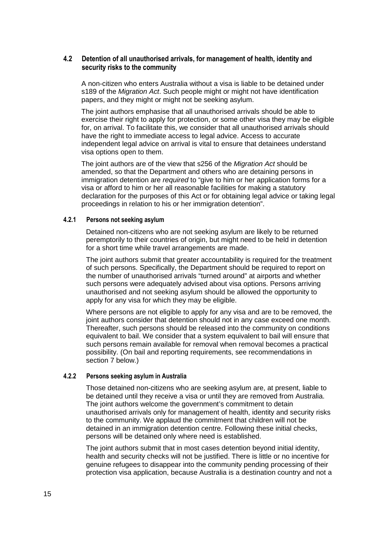# **4.2 Detention of all unauthorised arrivals, for management of health, identity and security risks to the community**

A non-citizen who enters Australia without a visa is liable to be detained under s189 of the Migration Act. Such people might or might not have identification papers, and they might or might not be seeking asylum.

The joint authors emphasise that all unauthorised arrivals should be able to exercise their right to apply for protection, or some other visa they may be eligible for, on arrival. To facilitate this, we consider that all unauthorised arrivals should have the right to immediate access to legal advice. Access to accurate independent legal advice on arrival is vital to ensure that detainees understand visa options open to them.

The joint authors are of the view that s256 of the Migration Act should be amended, so that the Department and others who are detaining persons in immigration detention are required to "give to him or her application forms for a visa or afford to him or her all reasonable facilities for making a statutory declaration for the purposes of this Act or for obtaining legal advice or taking legal proceedings in relation to his or her immigration detention".

#### **4.2.1 Persons not seeking asylum**

Detained non-citizens who are not seeking asylum are likely to be returned peremptorily to their countries of origin, but might need to be held in detention for a short time while travel arrangements are made.

The joint authors submit that greater accountability is required for the treatment of such persons. Specifically, the Department should be required to report on the number of unauthorised arrivals "turned around" at airports and whether such persons were adequately advised about visa options. Persons arriving unauthorised and not seeking asylum should be allowed the opportunity to apply for any visa for which they may be eligible.

Where persons are not eligible to apply for any visa and are to be removed, the joint authors consider that detention should not in any case exceed one month. Thereafter, such persons should be released into the community on conditions equivalent to bail. We consider that a system equivalent to bail will ensure that such persons remain available for removal when removal becomes a practical possibility. (On bail and reporting requirements, see recommendations in section 7 below.)

# **4.2.2 Persons seeking asylum in Australia**

Those detained non-citizens who are seeking asylum are, at present, liable to be detained until they receive a visa or until they are removed from Australia. The joint authors welcome the government's commitment to detain unauthorised arrivals only for management of health, identity and security risks to the community. We applaud the commitment that children will not be detained in an immigration detention centre. Following these initial checks, persons will be detained only where need is established.

The joint authors submit that in most cases detention beyond initial identity, health and security checks will not be justified. There is little or no incentive for genuine refugees to disappear into the community pending processing of their protection visa application, because Australia is a destination country and not a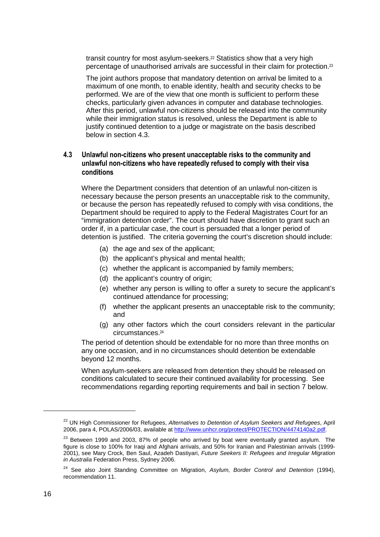transit country for most asylum-seekers.<sup>22</sup> Statistics show that a very high percentage of unauthorised arrivals are successful in their claim for protection.<sup>23</sup>

The joint authors propose that mandatory detention on arrival be limited to a maximum of one month, to enable identity, health and security checks to be performed. We are of the view that one month is sufficient to perform these checks, particularly given advances in computer and database technologies. After this period, unlawful non-citizens should be released into the community while their immigration status is resolved, unless the Department is able to justify continued detention to a judge or magistrate on the basis described below in section 4.3.

# **4.3 Unlawful non-citizens who present unacceptable risks to the community and unlawful non-citizens who have repeatedly refused to comply with their visa conditions**

Where the Department considers that detention of an unlawful non-citizen is necessary because the person presents an unacceptable risk to the community, or because the person has repeatedly refused to comply with visa conditions, the Department should be required to apply to the Federal Magistrates Court for an "immigration detention order". The court should have discretion to grant such an order if, in a particular case, the court is persuaded that a longer period of detention is justified. The criteria governing the court's discretion should include:

- (a) the age and sex of the applicant;
- (b) the applicant's physical and mental health;
- (c) whether the applicant is accompanied by family members;
- (d) the applicant's country of origin;
- (e) whether any person is willing to offer a surety to secure the applicant's continued attendance for processing;
- (f) whether the applicant presents an unacceptable risk to the community; and
- (g) any other factors which the court considers relevant in the particular circumstances.<sup>24</sup>

The period of detention should be extendable for no more than three months on any one occasion, and in no circumstances should detention be extendable beyond 12 months.

When asylum-seekers are released from detention they should be released on conditions calculated to secure their continued availability for processing. See recommendations regarding reporting requirements and bail in section 7 below.

<sup>&</sup>lt;sup>22</sup> UN High Commissioner for Refugees, Alternatives to Detention of Asylum Seekers and Refugees, April 2006, para 4, POLAS/2006/03, available at http://www.unhcr.org/protect/PROTECTION/4474140a2.pdf.

 $23$  Between 1999 and 2003, 87% of people who arrived by boat were eventually granted asylum. The figure is close to 100% for Iraqi and Afghani arrivals, and 50% for Iranian and Palestinian arrivals (1999- 2001), see Mary Crock, Ben Saul, Azadeh Dastiyari, Future Seekers II: Refugees and Irregular Migration in Australia Federation Press, Sydney 2006.

 $24$  See also Joint Standing Committee on Migration, Asylum, Border Control and Detention (1994), recommendation 11.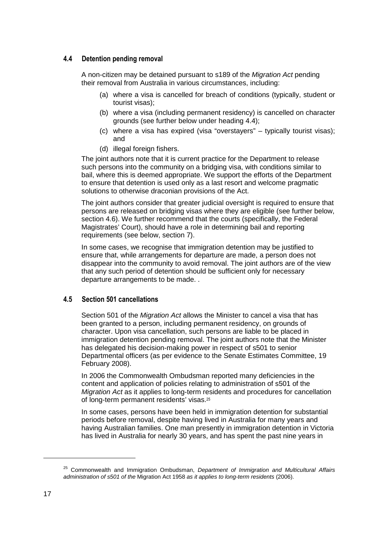# **4.4 Detention pending removal**

A non-citizen may be detained pursuant to s189 of the Migration Act pending their removal from Australia in various circumstances, including:

- (a) where a visa is cancelled for breach of conditions (typically, student or tourist visas);
- (b) where a visa (including permanent residency) is cancelled on character grounds (see further below under heading 4.4);
- (c) where a visa has expired (visa "overstayers" typically tourist visas); and
- (d) illegal foreign fishers.

The joint authors note that it is current practice for the Department to release such persons into the community on a bridging visa, with conditions similar to bail, where this is deemed appropriate. We support the efforts of the Department to ensure that detention is used only as a last resort and welcome pragmatic solutions to otherwise draconian provisions of the Act.

The joint authors consider that greater judicial oversight is required to ensure that persons are released on bridging visas where they are eligible (see further below, section 4.6). We further recommend that the courts (specifically, the Federal Magistrates' Court), should have a role in determining bail and reporting requirements (see below, section 7).

In some cases, we recognise that immigration detention may be justified to ensure that, while arrangements for departure are made, a person does not disappear into the community to avoid removal. The joint authors are of the view that any such period of detention should be sufficient only for necessary departure arrangements to be made. .

# **4.5 Section 501 cancellations**

Section 501 of the Migration Act allows the Minister to cancel a visa that has been granted to a person, including permanent residency, on grounds of character. Upon visa cancellation, such persons are liable to be placed in immigration detention pending removal. The joint authors note that the Minister has delegated his decision-making power in respect of s501 to senior Departmental officers (as per evidence to the Senate Estimates Committee, 19 February 2008).

In 2006 the Commonwealth Ombudsman reported many deficiencies in the content and application of policies relating to administration of s501 of the Migration Act as it applies to long-term residents and procedures for cancellation of long-term permanent residents' visas.<sup>25</sup>

In some cases, persons have been held in immigration detention for substantial periods before removal, despite having lived in Australia for many years and having Australian families. One man presently in immigration detention in Victoria has lived in Australia for nearly 30 years, and has spent the past nine years in

 $25$  Commonwealth and Immigration Ombudsman, Department of Immigration and Multicultural Affairs administration of s501 of the Migration Act 1958 as it applies to long-term residents (2006).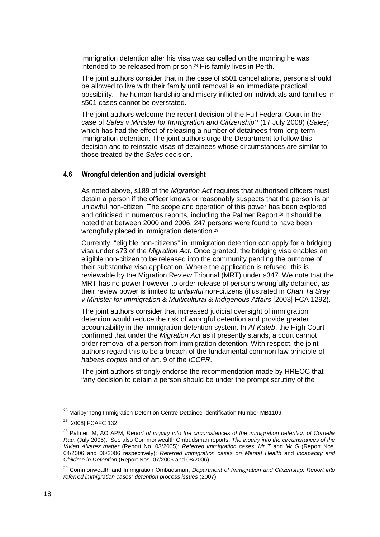immigration detention after his visa was cancelled on the morning he was intended to be released from prison.26 His family lives in Perth.

The joint authors consider that in the case of s501 cancellations, persons should be allowed to live with their family until removal is an immediate practical possibility. The human hardship and misery inflicted on individuals and families in s501 cases cannot be overstated.

The joint authors welcome the recent decision of the Full Federal Court in the case of Sales v Minister for Immigration and Citizenship*27* (17 July 2008) (Sales) which has had the effect of releasing a number of detainees from long-term immigration detention. The joint authors urge the Department to follow this decision and to reinstate visas of detainees whose circumstances are similar to those treated by the Sales decision.

# **4.6 Wrongful detention and judicial oversight**

As noted above, s189 of the *Migration Act* requires that authorised officers must detain a person if the officer knows or reasonably suspects that the person is an unlawful non-citizen. The scope and operation of this power has been explored and criticised in numerous reports, including the Palmer Report.28 It should be noted that between 2000 and 2006, 247 persons were found to have been wrongfully placed in immigration detention.<sup>29</sup>

Currently, "eligible non-citizens" in immigration detention can apply for a bridging visa under s73 of the Migration Act. Once granted, the bridging visa enables an eligible non-citizen to be released into the community pending the outcome of their substantive visa application. Where the application is refused, this is reviewable by the Migration Review Tribunal (MRT) under s347. We note that the MRT has no power however to order release of persons wrongfully detained, as their review power is limited to *unlawful* non-citizens (illustrated in *Chan Ta Srev* v Minister for Immigration & Multicultural & Indigenous Affairs [2003] FCA 1292).

The joint authors consider that increased judicial oversight of immigration detention would reduce the risk of wrongful detention and provide greater accountability in the immigration detention system. In Al-Kateb, the High Court confirmed that under the Migration Act as it presently stands, a court cannot order removal of a person from immigration detention. With respect, the joint authors regard this to be a breach of the fundamental common law principle of habeas corpus and of art. 9 of the ICCPR.

The joint authors strongly endorse the recommendation made by HREOC that "any decision to detain a person should be under the prompt scrutiny of the

<sup>&</sup>lt;sup>26</sup> Maribyrnong Immigration Detention Centre Detainee Identification Number MB1109.

<sup>27</sup> [2008] FCAFC 132.

<sup>&</sup>lt;sup>28</sup> Palmer, M, AO APM, Report of inquiry into the circumstances of the immigration detention of Cornelia Rau, (July 2005). See also Commonwealth Ombudsman reports: The inquiry into the circumstances of the Vivian Alvarez matter (Report No. 03/2005); Referred immigration cases: Mr T and Mr G (Report Nos. 04/2006 and 06/2006 respectively); Referred immigration cases on Mental Health and Incapacity and Children in Detention (Report Nos. 07/2006 and 08/2006).

<sup>&</sup>lt;sup>29</sup> Commonwealth and Immigration Ombudsman, Department of Immigration and Citizenship: Report into referred immigration cases: detention process issues (2007).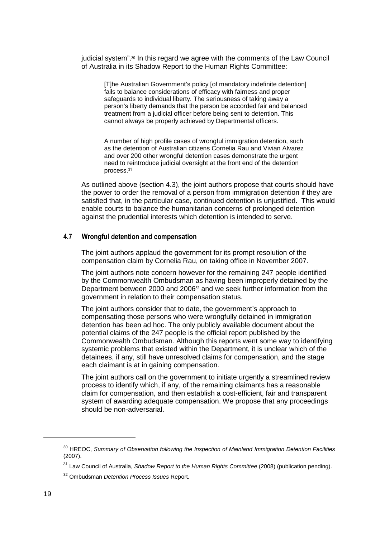judicial system".30 In this regard we agree with the comments of the Law Council of Australia in its Shadow Report to the Human Rights Committee:

[T]he Australian Government's policy [of mandatory indefinite detention] fails to balance considerations of efficacy with fairness and proper safeguards to individual liberty. The seriousness of taking away a person's liberty demands that the person be accorded fair and balanced treatment from a judicial officer before being sent to detention. This cannot always be properly achieved by Departmental officers.

A number of high profile cases of wrongful immigration detention, such as the detention of Australian citizens Cornelia Rau and Vivian Alvarez and over 200 other wrongful detention cases demonstrate the urgent need to reintroduce judicial oversight at the front end of the detention process.<sup>31</sup>

As outlined above (section 4.3), the joint authors propose that courts should have the power to order the removal of a person from immigration detention if they are satisfied that, in the particular case, continued detention is unjustified. This would enable courts to balance the humanitarian concerns of prolonged detention against the prudential interests which detention is intended to serve.

# **4.7 Wrongful detention and compensation**

The joint authors applaud the government for its prompt resolution of the compensation claim by Cornelia Rau, on taking office in November 2007.

The joint authors note concern however for the remaining 247 people identified by the Commonwealth Ombudsman as having been improperly detained by the Department between 2000 and 200632 and we seek further information from the government in relation to their compensation status.

The joint authors consider that to date, the government's approach to compensating those persons who were wrongfully detained in immigration detention has been ad hoc. The only publicly available document about the potential claims of the 247 people is the official report published by the Commonwealth Ombudsman. Although this reports went some way to identifying systemic problems that existed within the Department, it is unclear which of the detainees, if any, still have unresolved claims for compensation, and the stage each claimant is at in gaining compensation.

The joint authors call on the government to initiate urgently a streamlined review process to identify which, if any, of the remaining claimants has a reasonable claim for compensation, and then establish a cost-efficient, fair and transparent system of awarding adequate compensation. We propose that any proceedings should be non-adversarial.

<sup>&</sup>lt;sup>30</sup> HREOC, Summarv of Observation following the Inspection of Mainland Immigration Detention Facilities (2007).

<sup>&</sup>lt;sup>31</sup> Law Council of Australia, Shadow Report to the Human Rights Committee (2008) (publication pending).

<sup>&</sup>lt;sup>32</sup> Ombudsman Detention Process Issues Report.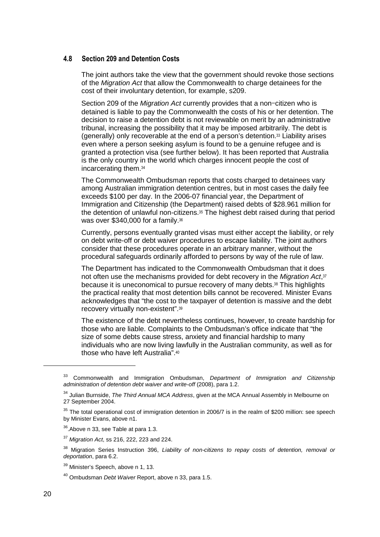## **4.8 Section 209 and Detention Costs**

The joint authors take the view that the government should revoke those sections of the Migration Act that allow the Commonwealth to charge detainees for the cost of their involuntary detention, for example, s209.

Section 209 of the *Migration Act* currently provides that a non-citizen who is detained is liable to pay the Commonwealth the costs of his or her detention. The decision to raise a detention debt is not reviewable on merit by an administrative tribunal, increasing the possibility that it may be imposed arbitrarily. The debt is (generally) only recoverable at the end of a person's detention.33 Liability arises even where a person seeking asylum is found to be a genuine refugee and is granted a protection visa (see further below). It has been reported that Australia is the only country in the world which charges innocent people the cost of incarcerating them.<sup>34</sup>

The Commonwealth Ombudsman reports that costs charged to detainees vary among Australian immigration detention centres, but in most cases the daily fee exceeds \$100 per day. In the 2006-07 financial year, the Department of Immigration and Citizenship (the Department) raised debts of \$28.961 million for the detention of unlawful non-citizens.35 The highest debt raised during that period was over \$340,000 for a family.<sup>36</sup>

Currently, persons eventually granted visas must either accept the liability, or rely on debt write-off or debt waiver procedures to escape liability. The joint authors consider that these procedures operate in an arbitrary manner, without the procedural safeguards ordinarily afforded to persons by way of the rule of law.

The Department has indicated to the Commonwealth Ombudsman that it does not often use the mechanisms provided for debt recovery in the Migration Act,<sup>37</sup> because it is uneconomical to pursue recovery of many debts.38 This highlights the practical reality that most detention bills cannot be recovered. Minister Evans acknowledges that "the cost to the taxpayer of detention is massive and the debt recovery virtually non-existent".<sup>39</sup>

The existence of the debt nevertheless continues, however, to create hardship for those who are liable. Complaints to the Ombudsman's office indicate that "the size of some debts cause stress, anxiety and financial hardship to many individuals who are now living lawfully in the Australian community, as well as for those who have left Australia".<sup>40</sup>

Commonwealth and Immigration Ombudsman, Department of Immigration and Citizenship administration of detention debt waiver and write-off (2008), para 1.2.

 $34$  Julian Burnside, The Third Annual MCA Address, given at the MCA Annual Assembly in Melbourne on 27 September 2004.

<sup>&</sup>lt;sup>35</sup> The total operational cost of immigration detention in 2006/7 is in the realm of \$200 million: see speech by Minister Evans, above n1.

<sup>36</sup>.Above n 33, see Table at para 1.3.

 $37$  *Migration Act, ss 216, 222, 223 and 224.* 

<sup>&</sup>lt;sup>38</sup> Migration Series Instruction 396, Liability of non-citizens to repay costs of detention, removal or deportation, para 6.2.

<sup>&</sup>lt;sup>39</sup> Minister's Speech, above n 1, 13.

<sup>&</sup>lt;sup>40</sup> Ombudsman Debt Waiver Report, above n 33, para 1.5.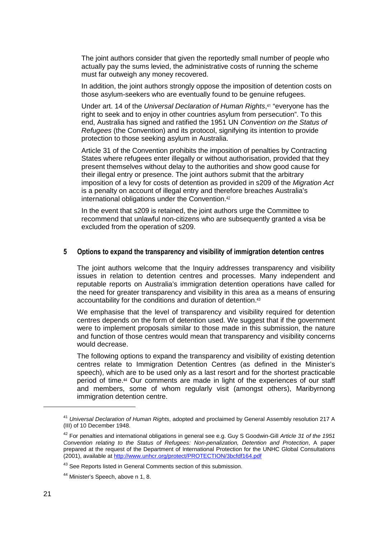The joint authors consider that given the reportedly small number of people who actually pay the sums levied, the administrative costs of running the scheme must far outweigh any money recovered.

In addition, the joint authors strongly oppose the imposition of detention costs on those asylum-seekers who are eventually found to be genuine refugees.

Under art. 14 of the Universal Declaration of Human Rights,<sup>41</sup> "everyone has the right to seek and to enjoy in other countries asylum from persecution". To this end, Australia has signed and ratified the 1951 UN Convention on the Status of Refugees (the Convention) and its protocol, signifying its intention to provide protection to those seeking asylum in Australia.

Article 31 of the Convention prohibits the imposition of penalties by Contracting States where refugees enter illegally or without authorisation, provided that they present themselves without delay to the authorities and show good cause for their illegal entry or presence. The joint authors submit that the arbitrary imposition of a levy for costs of detention as provided in s209 of the Migration Act is a penalty on account of illegal entry and therefore breaches Australia's international obligations under the Convention.<sup>42</sup>

In the event that s209 is retained, the joint authors urge the Committee to recommend that unlawful non-citizens who are subsequently granted a visa be excluded from the operation of s209.

## **5 Options to expand the transparency and visibility of immigration detention centres**

The joint authors welcome that the Inquiry addresses transparency and visibility issues in relation to detention centres and processes. Many independent and reputable reports on Australia's immigration detention operations have called for the need for greater transparency and visibility in this area as a means of ensuring accountability for the conditions and duration of detention.<sup>43</sup>

We emphasise that the level of transparency and visibility required for detention centres depends on the form of detention used. We suggest that if the government were to implement proposals similar to those made in this submission, the nature and function of those centres would mean that transparency and visibility concerns would decrease.

The following options to expand the transparency and visibility of existing detention centres relate to Immigration Detention Centres (as defined in the Minister's speech), which are to be used only as a last resort and for the shortest practicable period of time.44 Our comments are made in light of the experiences of our staff and members, some of whom regularly visit (amongst others), Maribyrnong immigration detention centre.

<sup>&</sup>lt;sup>41</sup> Universal Declaration of Human Rights, adopted and proclaimed by General Assembly resolution 217 A (III) of 10 December 1948.

 $42$  For penalties and international obligations in general see e.g. Guy S Goodwin-Gill Article 31 of the 1951 Convention relating to the Status of Refugees: Non-penalization, Detention and Protection, A paper prepared at the request of the Department of International Protection for the UNHC Global Consultations (2001), available at http://www.unhcr.org/protect/PROTECTION/3bcfdf164.pdf

<sup>&</sup>lt;sup>43</sup> See Reports listed in General Comments section of this submission.

<sup>&</sup>lt;sup>44</sup> Minister's Speech, above n 1, 8.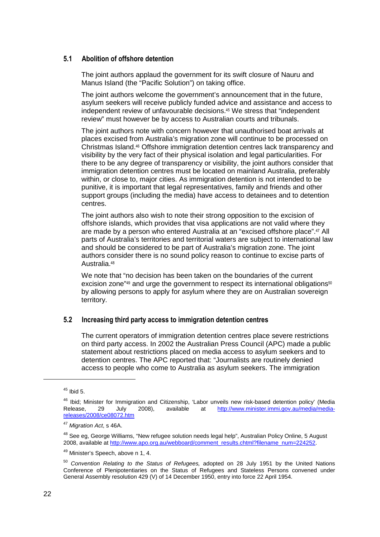# **5.1 Abolition of offshore detention**

The joint authors applaud the government for its swift closure of Nauru and Manus Island (the "Pacific Solution") on taking office.

The joint authors welcome the government's announcement that in the future, asylum seekers will receive publicly funded advice and assistance and access to independent review of unfavourable decisions.45 We stress that "independent review" must however be by access to Australian courts and tribunals.

The joint authors note with concern however that unauthorised boat arrivals at places excised from Australia's migration zone will continue to be processed on Christmas Island.46 Offshore immigration detention centres lack transparency and visibility by the very fact of their physical isolation and legal particularities. For there to be any degree of transparency or visibility, the joint authors consider that immigration detention centres must be located on mainland Australia, preferably within, or close to, major cities. As immigration detention is not intended to be punitive, it is important that legal representatives, family and friends and other support groups (including the media) have access to detainees and to detention centres.

The joint authors also wish to note their strong opposition to the excision of offshore islands, which provides that visa applications are not valid where they are made by a person who entered Australia at an "excised offshore place".47 All parts of Australia's territories and territorial waters are subject to international law and should be considered to be part of Australia's migration zone. The joint authors consider there is no sound policy reason to continue to excise parts of Australia.<sup>48</sup>

We note that "no decision has been taken on the boundaries of the current excision zone"<sup>49</sup> and urge the government to respect its international obligations<sup>50</sup> by allowing persons to apply for asylum where they are on Australian sovereign territory.

## **5.2 Increasing third party access to immigration detention centres**

The current operators of immigration detention centres place severe restrictions on third party access. In 2002 the Australian Press Council (APC) made a public statement about restrictions placed on media access to asylum seekers and to detention centres. The APC reported that: "Journalists are routinely denied access to people who come to Australia as asylum seekers. The immigration

 $45$  Ibid 5.

<sup>&</sup>lt;sup>46</sup> Ibid; Minister for Immigration and Citizenship, 'Labor unveils new risk-based detention policy' (Media<br>Release, 29 July 2008), available at http://www.minister.immi.gov.au/media/mediahttp://www.minister.immi.gov.au/media/mediareleases/2008/ce08072.htm

<sup>&</sup>lt;sup>47</sup> Migration Act, s 46A.

<sup>&</sup>lt;sup>48</sup> See eg, George Williams, "New refugee solution needs legal help", Australian Policy Online, 5 August 2008, available at http://www.apo.org.au/webboard/comment\_results.chtml?filename\_num=224252.

<sup>49</sup> Minister's Speech, above n 1, 4.

<sup>&</sup>lt;sup>50</sup> Convention Relating to the Status of Refugees, adopted on 28 July 1951 by the United Nations Conference of Plenipotentiaries on the Status of Refugees and Stateless Persons convened under General Assembly resolution 429 (V) of 14 December 1950, entry into force 22 April 1954.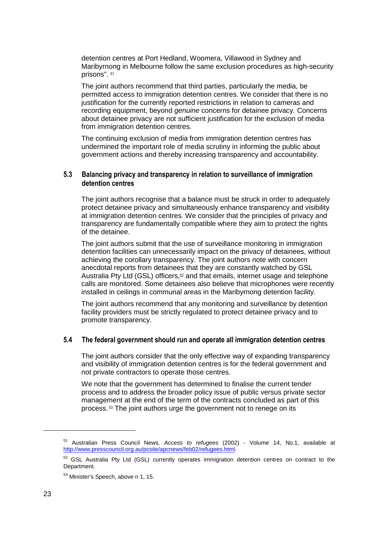detention centres at Port Hedland, Woomera, Villawood in Sydney and Maribyrnong in Melbourne follow the same exclusion procedures as high-security prisons". <sup>51</sup>

The joint authors recommend that third parties, particularly the media, be permitted access to immigration detention centres. We consider that there is no justification for the currently reported restrictions in relation to cameras and recording equipment, beyond genuine concerns for detainee privacy. Concerns about detainee privacy are not sufficient justification for the exclusion of media from immigration detention centres.

The continuing exclusion of media from immigration detention centres has undermined the important role of media scrutiny in informing the public about government actions and thereby increasing transparency and accountability.

# **5.3 Balancing privacy and transparency in relation to surveillance of immigration detention centres**

The joint authors recognise that a balance must be struck in order to adequately protect detainee privacy and simultaneously enhance transparency and visibility at immigration detention centres. We consider that the principles of privacy and transparency are fundamentally compatible where they aim to protect the rights of the detainee.

The joint authors submit that the use of surveillance monitoring in immigration detention facilities can unnecessarily impact on the privacy of detainees, without achieving the corollary transparency. The joint authors note with concern anecdotal reports from detainees that they are constantly watched by GSL Australia Pty Ltd (GSL) officers,<sup>52</sup> and that emails, internet usage and telephone calls are monitored. Some detainees also believe that microphones were recently installed in ceilings in communal areas in the Maribyrnong detention facility.

The joint authors recommend that any monitoring and surveillance by detention facility providers must be strictly regulated to protect detainee privacy and to promote transparency.

# **5.4 The federal government should run and operate all immigration detention centres**

The joint authors consider that the only effective way of expanding transparency and visibility of immigration detention centres is for the federal government and not private contractors to operate those centres.

We note that the government has determined to finalise the current tender process and to address the broader policy issue of public versus private sector management at the end of the term of the contracts concluded as part of this process. 53 The joint authors urge the government not to renege on its

 $51$  Australian Press Council News, Access to refugees (2002) - Volume 14, No.1, available at http://www.presscouncil.org.au/pcsite/apcnews/feb02/refugees.html.

<sup>&</sup>lt;sup>52</sup> GSL Australia Pty Ltd (GSL) currently operates immigration detention centres on contract to the Department.

<sup>53</sup> Minister's Speech, above n 1, 15.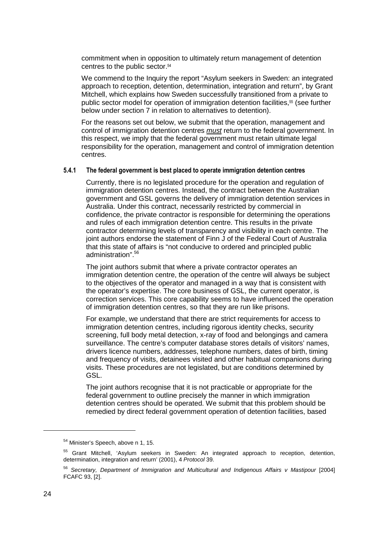commitment when in opposition to ultimately return management of detention centres to the public sector.<sup>54</sup>

We commend to the Inquiry the report "Asylum seekers in Sweden: an integrated approach to reception, detention, determination, integration and return", by Grant Mitchell, which explains how Sweden successfully transitioned from a private to public sector model for operation of immigration detention facilities,55 (see further below under section 7 in relation to alternatives to detention).

For the reasons set out below, we submit that the operation, management and control of immigration detention centres *must* return to the federal government. In this respect, we imply that the federal government must retain ultimate legal responsibility for the operation, management and control of immigration detention centres.

#### **5.4.1 The federal government is best placed to operate immigration detention centres**

Currently, there is no legislated procedure for the operation and regulation of immigration detention centres. Instead, the contract between the Australian government and GSL governs the delivery of immigration detention services in Australia. Under this contract, necessarily restricted by commercial in confidence, the private contractor is responsible for determining the operations and rules of each immigration detention centre. This results in the private contractor determining levels of transparency and visibility in each centre. The joint authors endorse the statement of Finn J of the Federal Court of Australia that this state of affairs is "not conducive to ordered and principled public administration".<sup>56</sup>

The joint authors submit that where a private contractor operates an immigration detention centre, the operation of the centre will always be subject to the objectives of the operator and managed in a way that is consistent with the operator's expertise. The core business of GSL, the current operator, is correction services. This core capability seems to have influenced the operation of immigration detention centres, so that they are run like prisons.

For example, we understand that there are strict requirements for access to immigration detention centres, including rigorous identity checks, security screening, full body metal detection, x-ray of food and belongings and camera surveillance. The centre's computer database stores details of visitors' names, drivers licence numbers, addresses, telephone numbers, dates of birth, timing and frequency of visits, detainees visited and other habitual companions during visits. These procedures are not legislated, but are conditions determined by GSL.

The joint authors recognise that it is not practicable or appropriate for the federal government to outline precisely the manner in which immigration detention centres should be operated. We submit that this problem should be remedied by direct federal government operation of detention facilities, based

<sup>54</sup> Minister's Speech, above n 1, 15.

<sup>55</sup> Grant Mitchell, 'Asylum seekers in Sweden: An integrated approach to reception, detention, determination, integration and return' (2001), 4 Protocol 39.

<sup>&</sup>lt;sup>56</sup> Secretary, Department of Immigration and Multicultural and Indigenous Affairs v Mastipour [2004] FCAFC 93, [2].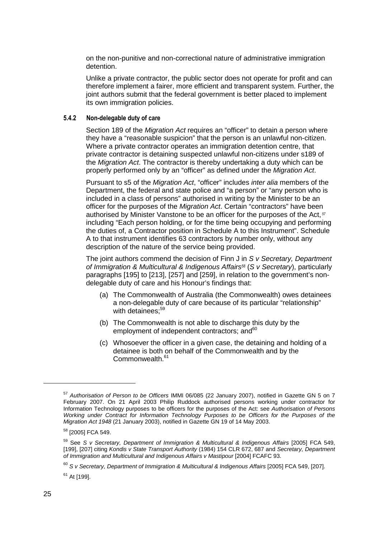on the non-punitive and non-correctional nature of administrative immigration detention.

Unlike a private contractor, the public sector does not operate for profit and can therefore implement a fairer, more efficient and transparent system. Further, the joint authors submit that the federal government is better placed to implement its own immigration policies.

#### **5.4.2 Non-delegable duty of care**

Section 189 of the Migration Act requires an "officer" to detain a person where they have a "reasonable suspicion" that the person is an unlawful non-citizen. Where a private contractor operates an immigration detention centre, that private contractor is detaining suspected unlawful non-citizens under s189 of the Migration Act. The contractor is thereby undertaking a duty which can be properly performed only by an "officer" as defined under the Migration Act.

Pursuant to s5 of the *Migration Act*, "officer" includes *inter alia* members of the Department, the federal and state police and "a person" or "any person who is included in a class of persons" authorised in writing by the Minister to be an officer for the purposes of the Migration Act. Certain "contractors" have been authorised by Minister Vanstone to be an officer for the purposes of the Act,*<sup>57</sup>* including "Each person holding, or for the time being occupying and performing the duties of, a Contractor position in Schedule A to this Instrument". Schedule A to that instrument identifies 63 contractors by number only, without any description of the nature of the service being provided.

The joint authors commend the decision of Finn  $J$  in  $S$   $v$  Secretary, Department of Immigration & Multicultural & Indigenous Affairs*<sup>58</sup>* (S v Secretary), particularly paragraphs [195] to [213], [257] and [259], in relation to the government's nondelegable duty of care and his Honour's findings that:

- (a) The Commonwealth of Australia (the Commonwealth) owes detainees a non-delegable duty of care because of its particular "relationship" with detainees;<sup>59</sup>
- (b) The Commonwealth is not able to discharge this duty by the employment of independent contractors; and<sup>60</sup>
- (c) Whosoever the officer in a given case, the detaining and holding of a detainee is both on behalf of the Commonwealth and by the Commonwealth.<sup>61</sup>

<sup>57</sup> Authorisation of Person to be Officers IMMI 06/085 (22 January 2007), notified in Gazette GN 5 on 7 February 2007. On 21 April 2003 Philip Ruddock authorised persons working under contractor for Information Technology purposes to be officers for the purposes of the Act: see Authorisation of Persons Working under Contract for Information Technology Purposes to be Officers for the Purposes of the Migration Act 1948 (21 January 2003), notified in Gazette GN 19 of 14 May 2003.

<sup>&</sup>lt;sup>58</sup> [2005] FCA 549.

 $59$  See S v Secretary, Department of Immigration & Multicultural & Indigenous Affairs [2005] FCA 549, [199], [207] citing Kondis v State Transport Authority (1984) 154 CLR 672, 687 and Secretary, Department of Immigration and Multicultural and Indigenous Affairs v Mastipour [2004] FCAFC 93.

 $60$  S v Secretary, Department of Immigration & Multicultural & Indigenous Affairs [2005] FCA 549, [207].

<sup>61</sup> At [199].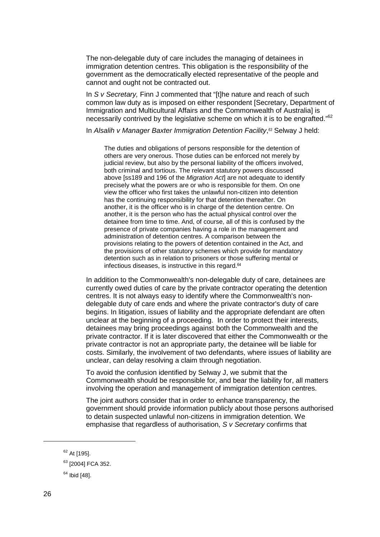The non-delegable duty of care includes the managing of detainees in immigration detention centres. This obligation is the responsibility of the government as the democratically elected representative of the people and cannot and ought not be contracted out.

In S v Secretary, Finn J commented that "[t]he nature and reach of such common law duty as is imposed on either respondent [Secretary, Department of Immigration and Multicultural Affairs and the Commonwealth of Australia] is necessarily contrived by the legislative scheme on which it is to be engrafted."<sup>62</sup>

In Alsalih v Manager Baxter Immigration Detention Facility, *<sup>63</sup>* Selway J held:

The duties and obligations of persons responsible for the detention of others are very onerous. Those duties can be enforced not merely by judicial review, but also by the personal liability of the officers involved, both criminal and tortious. The relevant statutory powers discussed above [ss189 and 196 of the Migration Act] are not adequate to identify precisely what the powers are or who is responsible for them. On one view the officer who first takes the unlawful non-citizen into detention has the continuing responsibility for that detention thereafter. On another, it is the officer who is in charge of the detention centre. On another, it is the person who has the actual physical control over the detainee from time to time. And, of course, all of this is confused by the presence of private companies having a role in the management and administration of detention centres. A comparison between the provisions relating to the powers of detention contained in the Act, and the provisions of other statutory schemes which provide for mandatory detention such as in relation to prisoners or those suffering mental or infectious diseases, is instructive in this regard.<sup>64</sup>

In addition to the Commonwealth's non-delegable duty of care, detainees are currently owed duties of care by the private contractor operating the detention centres. It is not always easy to identify where the Commonwealth's nondelegable duty of care ends and where the private contractor's duty of care begins. In litigation, issues of liability and the appropriate defendant are often unclear at the beginning of a proceeding. In order to protect their interests, detainees may bring proceedings against both the Commonwealth and the private contractor. If it is later discovered that either the Commonwealth or the private contractor is not an appropriate party, the detainee will be liable for costs. Similarly, the involvement of two defendants, where issues of liability are unclear, can delay resolving a claim through negotiation.

To avoid the confusion identified by Selway J, we submit that the Commonwealth should be responsible for, and bear the liability for, all matters involving the operation and management of immigration detention centres.

The joint authors consider that in order to enhance transparency, the government should provide information publicly about those persons authorised to detain suspected unlawful non-citizens in immigration detention. We emphasise that regardless of authorisation, S v Secretary confirms that

<sup>&</sup>lt;sup>62</sup> At [195].

<sup>&</sup>lt;sup>63</sup> [2004] FCA 352.

 $64$  Ibid [48].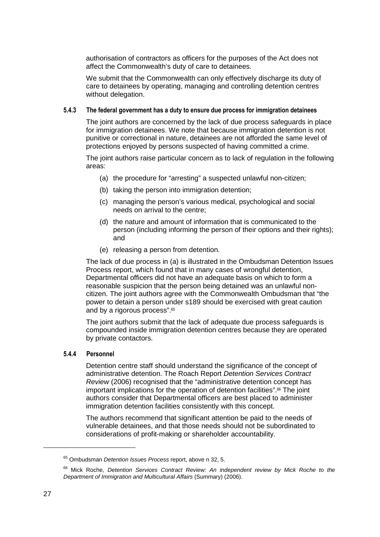authorisation of contractors as officers for the purposes of the Act does not affect the Commonwealth's duty of care to detainees.

We submit that the Commonwealth can only effectively discharge its duty of care to detainees by operating, managing and controlling detention centres without delegation.

#### **5.4.3 The federal government has a duty to ensure due process for immigration detainees**

The joint authors are concerned by the lack of due process safeguards in place for immigration detainees. We note that because immigration detention is not punitive or correctional in nature, detainees are not afforded the same level of protections enjoyed by persons suspected of having committed a crime.

The joint authors raise particular concern as to lack of regulation in the following areas:

- (a) the procedure for "arresting" a suspected unlawful non-citizen;
- (b) taking the person into immigration detention;
- (c) managing the person's various medical, psychological and social needs on arrival to the centre;
- (d) the nature and amount of information that is communicated to the person (including informing the person of their options and their rights); and
- (e) releasing a person from detention.

The lack of due process in (a) is illustrated in the Ombudsman Detention Issues Process report, which found that in many cases of wrongful detention, Departmental officers did not have an adequate basis on which to form a reasonable suspicion that the person being detained was an unlawful noncitizen. The joint authors agree with the Commonwealth Ombudsman that "the power to detain a person under s189 should be exercised with great caution and by a rigorous process".<sup>65</sup>

The joint authors submit that the lack of adequate due process safeguards is compounded inside immigration detention centres because they are operated by private contactors.

# **5.4.4 Personnel**

Detention centre staff should understand the significance of the concept of administrative detention. The Roach Report Detention Services Contract Review (2006) recognised that the "administrative detention concept has important implications for the operation of detention facilities".<sup>66</sup> The joint authors consider that Departmental officers are best placed to administer immigration detention facilities consistently with this concept.

The authors recommend that significant attention be paid to the needs of vulnerable detainees, and that those needs should not be subordinated to considerations of profit-making or shareholder accountability.

<sup>&</sup>lt;sup>65</sup> Ombudsman Detention Issues Process report, above n 32, 5.

<sup>&</sup>lt;sup>66</sup> Mick Roche, Detention Services Contract Review: An independent review by Mick Roche to the Department of Immigration and Multicultural Affairs (Summary) (2006).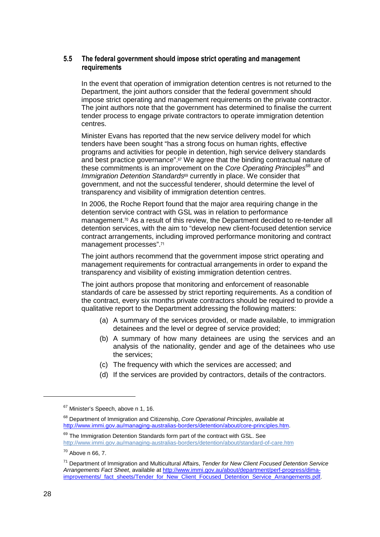# **5.5 The federal government should impose strict operating and management requirements**

In the event that operation of immigration detention centres is not returned to the Department, the joint authors consider that the federal government should impose strict operating and management requirements on the private contractor. The joint authors note that the government has determined to finalise the current tender process to engage private contractors to operate immigration detention centres.

Minister Evans has reported that the new service delivery model for which tenders have been sought "has a strong focus on human rights, effective programs and activities for people in detention, high service delivery standards and best practice governance".<sup>67</sup> We agree that the binding contractual nature of these commitments is an improvement on the Core Operating Principles<sup>68</sup> and Immigration Detention Standards<sup>69</sup> currently in place. We consider that government, and not the successful tenderer, should determine the level of transparency and visibility of immigration detention centres.

In 2006, the Roche Report found that the major area requiring change in the detention service contract with GSL was in relation to performance management.70 As a result of this review, the Department decided to re-tender all detention services, with the aim to "develop new client-focused detention service contract arrangements, including improved performance monitoring and contract management processes".<sup>71</sup>

The joint authors recommend that the government impose strict operating and management requirements for contractual arrangements in order to expand the transparency and visibility of existing immigration detention centres.

The joint authors propose that monitoring and enforcement of reasonable standards of care be assessed by strict reporting requirements. As a condition of the contract, every six months private contractors should be required to provide a qualitative report to the Department addressing the following matters:

- (a) A summary of the services provided, or made available, to immigration detainees and the level or degree of service provided;
- (b) A summary of how many detainees are using the services and an analysis of the nationality, gender and age of the detainees who use the services;
- (c) The frequency with which the services are accessed; and
- (d) If the services are provided by contractors, details of the contractors.

<sup>&</sup>lt;sup>67</sup> Minister's Speech, above n 1, 16.

<sup>&</sup>lt;sup>68</sup> Department of Immigration and Citizenship, Core Operational Principles, available at http://www.immi.gov.au/managing-australias-borders/detention/about/core-principles.htm.

<sup>&</sup>lt;sup>69</sup> The Immigration Detention Standards form part of the contract with GSL. See http://www.immi.gov.au/managing-australias-borders/detention/about/standard-of-care.htm

 $70$  Above n 66, 7.

<sup>&</sup>lt;sup>71</sup> Department of Immigration and Multicultural Affairs, Tender for New Client Focused Detention Service Arrangements Fact Sheet, available at http://www.immi.gov.au/about/department/perf-progress/dimaimprovements/\_fact\_sheets/Tender\_for\_New\_Client\_Focused\_Detention\_Service\_Arrangements.pdf.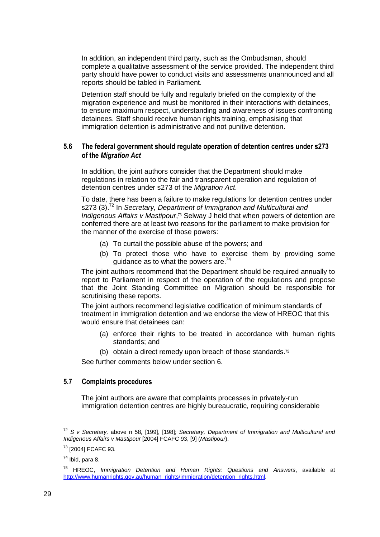In addition, an independent third party, such as the Ombudsman, should complete a qualitative assessment of the service provided. The independent third party should have power to conduct visits and assessments unannounced and all reports should be tabled in Parliament.

Detention staff should be fully and regularly briefed on the complexity of the migration experience and must be monitored in their interactions with detainees, to ensure maximum respect, understanding and awareness of issues confronting detainees. Staff should receive human rights training, emphasising that immigration detention is administrative and not punitive detention.

# **5.6 The federal government should regulate operation of detention centres under s273 of the** *Migration Act*

In addition, the joint authors consider that the Department should make regulations in relation to the fair and transparent operation and regulation of detention centres under s273 of the Migration Act.

To date, there has been a failure to make regulations for detention centres under s273 (3).<sup>72</sup> In Secretary, Department of Immigration and Multicultural and Indigenous Affairs v Mastipour, <sup>73</sup> Selway J held that when powers of detention are conferred there are at least two reasons for the parliament to make provision for the manner of the exercise of those powers:

- (a) To curtail the possible abuse of the powers; and
- (b) To protect those who have to exercise them by providing some guidance as to what the powers are. $74$

The joint authors recommend that the Department should be required annually to report to Parliament in respect of the operation of the regulations and propose that the Joint Standing Committee on Migration should be responsible for scrutinising these reports.

The joint authors recommend legislative codification of minimum standards of treatment in immigration detention and we endorse the view of HREOC that this would ensure that detainees can:

- (a) enforce their rights to be treated in accordance with human rights standards; and
- (b) obtain a direct remedy upon breach of those standards.<sup>75</sup>

See further comments below under section 6.

# **5.7 Complaints procedures**

The joint authors are aware that complaints processes in privately-run immigration detention centres are highly bureaucratic, requiring considerable

 $72$  S v Secretary, above n 58, [199], [198]; Secretary, Department of Immigration and Multicultural and Indigenous Affairs v Mastipour [2004] FCAFC 93, [9] (Mastipour).

<sup>73</sup> [2004] FCAFC 93.

 $74$  Ibid, para 8.

 $75$  HREOC, Immigration Detention and Human Rights: Questions and Answers, available at http://www.humanrights.gov.au/human\_rights/immigration/detention\_rights.html.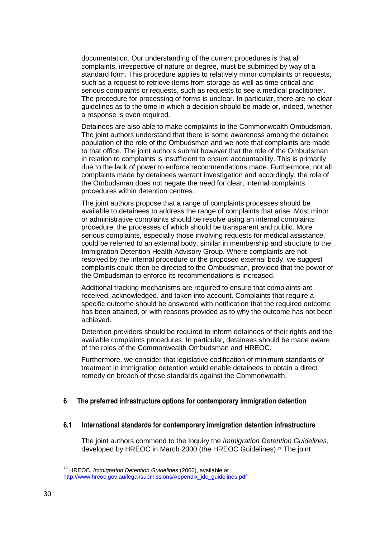documentation. Our understanding of the current procedures is that all complaints, irrespective of nature or degree, must be submitted by way of a standard form. This procedure applies to relatively minor complaints or requests, such as a request to retrieve items from storage as well as time critical and serious complaints or requests, such as requests to see a medical practitioner. The procedure for processing of forms is unclear. In particular, there are no clear guidelines as to the time in which a decision should be made or, indeed, whether a response is even required.

Detainees are also able to make complaints to the Commonwealth Ombudsman. The joint authors understand that there is some awareness among the detainee population of the role of the Ombudsman and we note that complaints are made to that office. The joint authors submit however that the role of the Ombudsman in relation to complaints is insufficient to ensure accountability. This is primarily due to the lack of power to enforce recommendations made. Furthermore, not all complaints made by detainees warrant investigation and accordingly, the role of the Ombudsman does not negate the need for clear, internal complaints procedures within detention centres.

The joint authors propose that a range of complaints processes should be available to detainees to address the range of complaints that arise. Most minor or administrative complaints should be resolve using an internal complaints procedure, the processes of which should be transparent and public. More serious complaints, especially those involving requests for medical assistance, could be referred to an external body, similar in membership and structure to the Immigration Detention Health Advisory Group. Where complaints are not resolved by the internal procedure or the proposed external body, we suggest complaints could then be directed to the Ombudsman, provided that the power of the Ombudsman to enforce its recommendations is increased.

Additional tracking mechanisms are required to ensure that complaints are received, acknowledged, and taken into account. Complaints that require a specific outcome should be answered with notification that the required outcome has been attained, or with reasons provided as to why the outcome has not been achieved.

Detention providers should be required to inform detainees of their rights and the available complaints procedures. In particular, detainees should be made aware of the roles of the Commonwealth Ombudsman and HREOC.

Furthermore, we consider that legislative codification of minimum standards of treatment in immigration detention would enable detainees to obtain a direct remedy on breach of those standards against the Commonwealth.

## **6 The preferred infrastructure options for contemporary immigration detention**

#### **6.1 International standards for contemporary immigration detention infrastructure**

The joint authors commend to the Inquiry the Immigration Detention Guidelines, developed by HREOC in March 2000 (the HREOC Guidelines).76 The joint

<sup>&</sup>lt;sup>76</sup> HREOC, Immigration Detention Guidelines (2006), available at http://www.hreoc.gov.au/legal/submissions/Appendix\_idc\_guidelines.pdf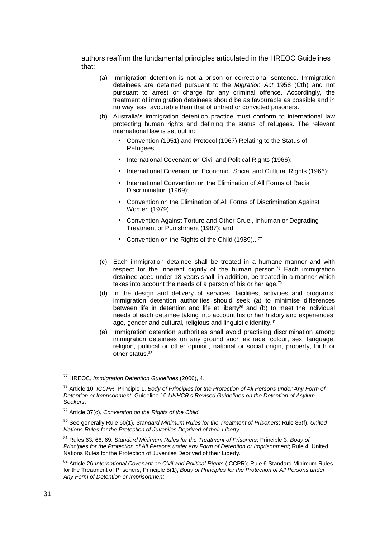authors reaffirm the fundamental principles articulated in the HREOC Guidelines that:

- (a) Immigration detention is not a prison or correctional sentence. Immigration detainees are detained pursuant to the Migration Act 1958 (Cth) and not pursuant to arrest or charge for any criminal offence. Accordingly, the treatment of immigration detainees should be as favourable as possible and in no way less favourable than that of untried or convicted prisoners.
- (b) Australia's immigration detention practice must conform to international law protecting human rights and defining the status of refugees. The relevant international law is set out in:
	- Convention (1951) and Protocol (1967) Relating to the Status of Refugees;
	- International Covenant on Civil and Political Rights (1966);
	- International Covenant on Economic, Social and Cultural Rights (1966);
	- International Convention on the Elimination of All Forms of Racial Discrimination (1969);
	- Convention on the Elimination of All Forms of Discrimination Against Women (1979);
	- Convention Against Torture and Other Cruel, Inhuman or Degrading Treatment or Punishment (1987); and
	- Convention on the Rights of the Child (1989)...<sup>77</sup>
- (c) Each immigration detainee shall be treated in a humane manner and with respect for the inherent dignity of the human person.78 Each immigration detainee aged under 18 years shall, in addition, be treated in a manner which takes into account the needs of a person of his or her age.<sup>79</sup>
- (d) In the design and delivery of services, facilities, activities and programs, immigration detention authorities should seek (a) to minimise differences between life in detention and life at liberty<sup>80</sup> and  $(b)$  to meet the individual needs of each detainee taking into account his or her history and experiences, age, gender and cultural, religious and linguistic identity.<sup>81</sup>
- (e) Immigration detention authorities shall avoid practising discrimination among immigration detainees on any ground such as race, colour, sex, language, religion, political or other opinion, national or social origin, property, birth or other status.<sup>82</sup>

<sup>77</sup> HREOC, Immigration Detention Guidelines (2006), 4.

<sup>&</sup>lt;sup>78</sup> Article 10, *ICCPR*; Principle 1, Body of Principles for the Protection of All Persons under Any Form of Detention or Imprisonment; Guideline 10 UNHCR's Revised Guidelines on the Detention of Asylum-Seekers.

 $79$  Article 37(c), Convention on the Rights of the Child.

 $80$  See generally Rule 60(1), Standard Minimum Rules for the Treatment of Prisoners; Rule 86(f), United Nations Rules for the Protection of Juveniles Deprived of their Liberty.

<sup>&</sup>lt;sup>81</sup> Rules 63, 66, 69, Standard Minimum Rules for the Treatment of Prisoners; Principle 3, Body of Principles for the Protection of All Persons under any Form of Detention or Imprisonment; Rule 4, United Nations Rules for the Protection of Juveniles Deprived of their Liberty.

<sup>82</sup> Article 26 International Covenant on Civil and Political Rights (ICCPR); Rule 6 Standard Minimum Rules for the Treatment of Prisoners; Principle 5(1), Body of Principles for the Protection of All Persons under Any Form of Detention or Imprisonment.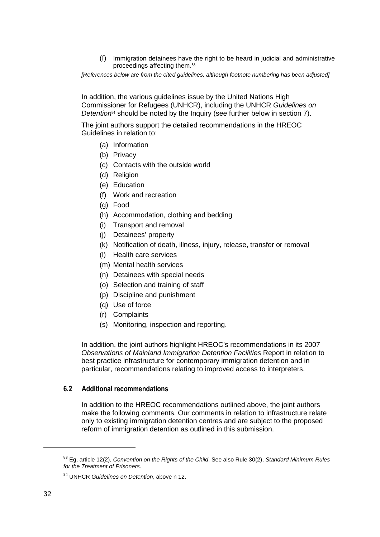(f) Immigration detainees have the right to be heard in judicial and administrative proceedings affecting them.<sup>83</sup>

[References below are from the cited guidelines, although footnote numbering has been adjusted]

In addition, the various guidelines issue by the United Nations High Commissioner for Refugees (UNHCR), including the UNHCR Guidelines on Detention<sup>84</sup> should be noted by the Inquiry (see further below in section 7).

The joint authors support the detailed recommendations in the HREOC Guidelines in relation to:

- (a) Information
- (b) Privacy
- (c) Contacts with the outside world
- (d) Religion
- (e) Education
- (f) Work and recreation
- (g) Food
- (h) Accommodation, clothing and bedding
- (i) Transport and removal
- (j) Detainees' property
- (k) Notification of death, illness, injury, release, transfer or removal
- (l) Health care services
- (m) Mental health services
- (n) Detainees with special needs
- (o) Selection and training of staff
- (p) Discipline and punishment
- (q) Use of force
- (r) Complaints
- (s) Monitoring, inspection and reporting.

In addition, the joint authors highlight HREOC's recommendations in its 2007 Observations of Mainland Immigration Detention Facilities Report in relation to best practice infrastructure for contemporary immigration detention and in particular, recommendations relating to improved access to interpreters.

# **6.2 Additional recommendations**

In addition to the HREOC recommendations outlined above, the joint authors make the following comments. Our comments in relation to infrastructure relate only to existing immigration detention centres and are subject to the proposed reform of immigration detention as outlined in this submission.

 $83$  Eg, article 12(2), Convention on the Rights of the Child. See also Rule 30(2), Standard Minimum Rules for the Treatment of Prisoners.

<sup>&</sup>lt;sup>84</sup> UNHCR Guidelines on Detention, above n 12.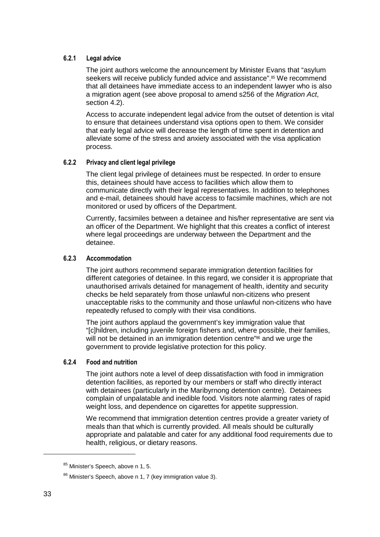# **6.2.1 Legal advice**

The joint authors welcome the announcement by Minister Evans that "asylum seekers will receive publicly funded advice and assistance".<sup>85</sup> We recommend that all detainees have immediate access to an independent lawyer who is also a migration agent (see above proposal to amend s256 of the Migration Act, section 4.2).

Access to accurate independent legal advice from the outset of detention is vital to ensure that detainees understand visa options open to them. We consider that early legal advice will decrease the length of time spent in detention and alleviate some of the stress and anxiety associated with the visa application process.

#### **6.2.2 Privacy and client legal privilege**

The client legal privilege of detainees must be respected. In order to ensure this, detainees should have access to facilities which allow them to communicate directly with their legal representatives. In addition to telephones and e-mail, detainees should have access to facsimile machines, which are not monitored or used by officers of the Department.

Currently, facsimiles between a detainee and his/her representative are sent via an officer of the Department. We highlight that this creates a conflict of interest where legal proceedings are underway between the Department and the detainee.

#### **6.2.3 Accommodation**

The joint authors recommend separate immigration detention facilities for different categories of detainee. In this regard, we consider it is appropriate that unauthorised arrivals detained for management of health, identity and security checks be held separately from those unlawful non-citizens who present unacceptable risks to the community and those unlawful non-citizens who have repeatedly refused to comply with their visa conditions.

The joint authors applaud the government's key immigration value that "[c]hildren, including juvenile foreign fishers and, where possible, their families, will not be detained in an immigration detention centre<sup>"86</sup> and we urge the government to provide legislative protection for this policy.

# **6.2.4 Food and nutrition**

The joint authors note a level of deep dissatisfaction with food in immigration detention facilities, as reported by our members or staff who directly interact with detainees (particularly in the Maribyrnong detention centre). Detainees complain of unpalatable and inedible food. Visitors note alarming rates of rapid weight loss, and dependence on cigarettes for appetite suppression.

We recommend that immigration detention centres provide a greater variety of meals than that which is currently provided. All meals should be culturally appropriate and palatable and cater for any additional food requirements due to health, religious, or dietary reasons.

<sup>85</sup> Minister's Speech, above n 1, 5.

<sup>&</sup>lt;sup>86</sup> Minister's Speech, above n 1, 7 (key immigration value 3).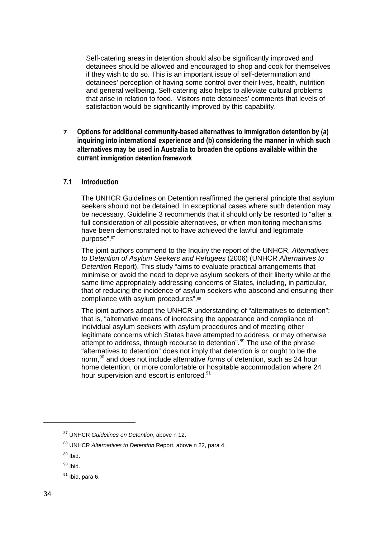Self-catering areas in detention should also be significantly improved and detainees should be allowed and encouraged to shop and cook for themselves if they wish to do so. This is an important issue of self-determination and detainees' perception of having some control over their lives, health, nutrition and general wellbeing. Self-catering also helps to alleviate cultural problems that arise in relation to food. Visitors note detainees' comments that levels of satisfaction would be significantly improved by this capability.

**7 Options for additional community-based alternatives to immigration detention by (a) inquiring into international experience and (b) considering the manner in which such alternatives may be used in Australia to broaden the options available within the current immigration detention framework**

# **7.1 Introduction**

The UNHCR Guidelines on Detention reaffirmed the general principle that asylum seekers should not be detained. In exceptional cases where such detention may be necessary, Guideline 3 recommends that it should only be resorted to "after a full consideration of all possible alternatives, or when monitoring mechanisms have been demonstrated not to have achieved the lawful and legitimate purpose".<sup>87</sup>

The joint authors commend to the Inquiry the report of the UNHCR, Alternatives to Detention of Asylum Seekers and Refugees (2006) (UNHCR Alternatives to Detention Report). This study "aims to evaluate practical arrangements that minimise or avoid the need to deprive asylum seekers of their liberty while at the same time appropriately addressing concerns of States, including, in particular, that of reducing the incidence of asylum seekers who abscond and ensuring their compliance with asylum procedures".<sup>88</sup>

The joint authors adopt the UNHCR understanding of "alternatives to detention": that is, "alternative means of increasing the appearance and compliance of individual asylum seekers with asylum procedures and of meeting other legitimate concerns which States have attempted to address, or may otherwise attempt to address, through recourse to detention".<sup>89</sup> The use of the phrase "alternatives to detention" does not imply that detention is or ought to be the norm,<sup>90</sup> and does not include alternative forms of detention, such as 24 hour home detention, or more comfortable or hospitable accommodation where 24 hour supervision and escort is enforced.<sup>91</sup>

<sup>&</sup>lt;sup>87</sup> UNHCR Guidelines on Detention, above n 12.

<sup>88</sup> UNHCR Alternatives to Detention Report, above n 22, para 4.

<sup>89</sup> Ibid.

 $90$  Ibid.

 $91$  Ibid, para 6.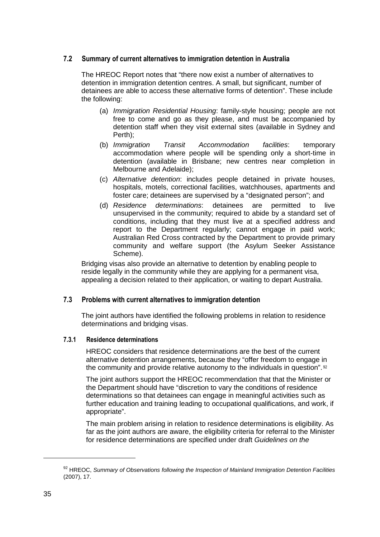# **7.2 Summary of current alternatives to immigration detention in Australia**

The HREOC Report notes that "there now exist a number of alternatives to detention in immigration detention centres. A small, but significant, number of detainees are able to access these alternative forms of detention". These include the following:

- (a) Immigration Residential Housing: family-style housing; people are not free to come and go as they please, and must be accompanied by detention staff when they visit external sites (available in Sydney and Perth);
- (b) Immigration Transit Accommodation facilities: temporary accommodation where people will be spending only a short-time in detention (available in Brisbane; new centres near completion in Melbourne and Adelaide);
- (c) Alternative detention: includes people detained in private houses, hospitals, motels, correctional facilities, watchhouses, apartments and foster care; detainees are supervised by a "designated person"; and
- (d) Residence determinations: detainees are permitted to live unsupervised in the community; required to abide by a standard set of conditions, including that they must live at a specified address and report to the Department regularly; cannot engage in paid work; Australian Red Cross contracted by the Department to provide primary community and welfare support (the Asylum Seeker Assistance Scheme).

Bridging visas also provide an alternative to detention by enabling people to reside legally in the community while they are applying for a permanent visa, appealing a decision related to their application, or waiting to depart Australia.

# **7.3 Problems with current alternatives to immigration detention**

The joint authors have identified the following problems in relation to residence determinations and bridging visas.

# **7.3.1 Residence determinations**

HREOC considers that residence determinations are the best of the current alternative detention arrangements, because they "offer freedom to engage in the community and provide relative autonomy to the individuals in question".  $92$ 

The joint authors support the HREOC recommendation that that the Minister or the Department should have "discretion to vary the conditions of residence determinations so that detainees can engage in meaningful activities such as further education and training leading to occupational qualifications, and work, if appropriate".

The main problem arising in relation to residence determinations is eligibility. As far as the joint authors are aware, the eligibility criteria for referral to the Minister for residence determinations are specified under draft Guidelines on the

<sup>92</sup> HREOC, Summary of Observations following the Inspection of Mainland Immigration Detention Facilities (2007), 17.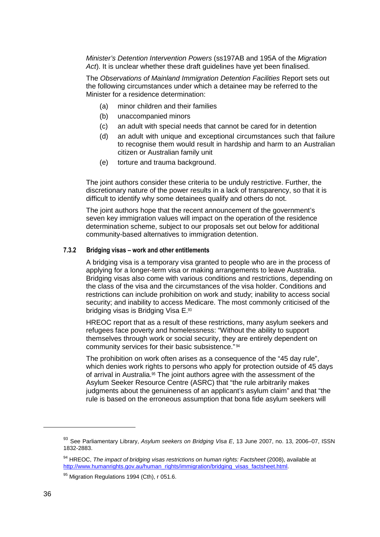Minister's Detention Intervention Powers (ss197AB and 195A of the Migration Act). It is unclear whether these draft guidelines have yet been finalised.

The Observations of Mainland Immigration Detention Facilities Report sets out the following circumstances under which a detainee may be referred to the Minister for a residence determination:

- (a) minor children and their families
- (b) unaccompanied minors
- (c) an adult with special needs that cannot be cared for in detention
- (d) an adult with unique and exceptional circumstances such that failure to recognise them would result in hardship and harm to an Australian citizen or Australian family unit
- (e) torture and trauma background.

The joint authors consider these criteria to be unduly restrictive. Further, the discretionary nature of the power results in a lack of transparency, so that it is difficult to identify why some detainees qualify and others do not.

The joint authors hope that the recent announcement of the government's seven key immigration values will impact on the operation of the residence determination scheme, subject to our proposals set out below for additional community-based alternatives to immigration detention.

#### **7.3.2 Bridging visas – work and other entitlements**

A bridging visa is a temporary visa granted to people who are in the process of applying for a longer-term visa or making arrangements to leave Australia. Bridging visas also come with various conditions and restrictions, depending on the class of the visa and the circumstances of the visa holder. Conditions and restrictions can include prohibition on work and study; inability to access social security; and inability to access Medicare. The most commonly criticised of the bridging visas is Bridging Visa E.<sup>93</sup>

HREOC report that as a result of these restrictions, many asylum seekers and refugees face poverty and homelessness: "Without the ability to support themselves through work or social security, they are entirely dependent on community services for their basic subsistence."<sup>94</sup>

The prohibition on work often arises as a consequence of the "45 day rule", which denies work rights to persons who apply for protection outside of 45 days of arrival in Australia.<sup>95</sup> The joint authors agree with the assessment of the Asylum Seeker Resource Centre (ASRC) that "the rule arbitrarily makes judgments about the genuineness of an applicant's asylum claim" and that "the rule is based on the erroneous assumption that bona fide asylum seekers will

<sup>93</sup> See Parliamentary Library, Asylum seekers on Bridging Visa E, 13 June 2007, no. 13, 2006-07, ISSN 1832-2883.

<sup>94</sup> HREOC, The impact of bridging visas restrictions on human rights: Factsheet (2008), available at http://www.humanrights.gov.au/human\_rights/immigration/bridging\_visas\_factsheet.html.

<sup>95</sup> Migration Regulations 1994 (Cth), r 051.6.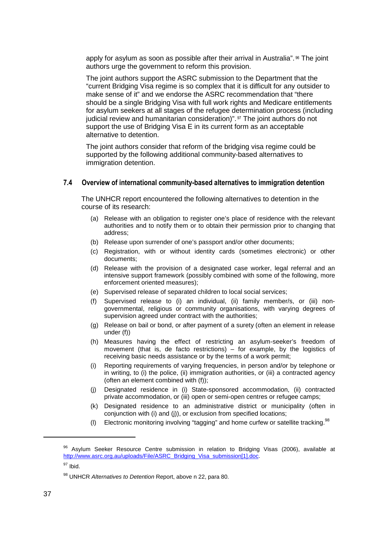apply for asylum as soon as possible after their arrival in Australia". 96 The joint authors urge the government to reform this provision.

The joint authors support the ASRC submission to the Department that the "current Bridging Visa regime is so complex that it is difficult for any outsider to make sense of it" and we endorse the ASRC recommendation that "there should be a single Bridging Visa with full work rights and Medicare entitlements for asylum seekers at all stages of the refugee determination process (including judicial review and humanitarian consideration)". 97 The joint authors do not support the use of Bridging Visa E in its current form as an acceptable alternative to detention.

The joint authors consider that reform of the bridging visa regime could be supported by the following additional community-based alternatives to immigration detention.

## **7.4 Overview of international community-based alternatives to immigration detention**

The UNHCR report encountered the following alternatives to detention in the course of its research:

- (a) Release with an obligation to register one's place of residence with the relevant authorities and to notify them or to obtain their permission prior to changing that address;
- (b) Release upon surrender of one's passport and/or other documents;
- (c) Registration, with or without identity cards (sometimes electronic) or other documents;
- (d) Release with the provision of a designated case worker, legal referral and an intensive support framework (possibly combined with some of the following, more enforcement oriented measures);
- (e) Supervised release of separated children to local social services;
- (f) Supervised release to (i) an individual, (ii) family member/s, or (iii) nongovernmental, religious or community organisations, with varying degrees of supervision agreed under contract with the authorities;
- (g) Release on bail or bond, or after payment of a surety (often an element in release under (f))
- (h) Measures having the effect of restricting an asylum-seeker's freedom of movement (that is, de facto restrictions) – for example, by the logistics of receiving basic needs assistance or by the terms of a work permit;
- (i) Reporting requirements of varying frequencies, in person and/or by telephone or in writing, to (i) the police, (ii) immigration authorities, or (iii) a contracted agency (often an element combined with (f));
- (j) Designated residence in (i) State-sponsored accommodation, (ii) contracted private accommodation, or (iii) open or semi-open centres or refugee camps;
- (k) Designated residence to an administrative district or municipality (often in conjunction with (i) and (j)), or exclusion from specified locations;
- (I) Electronic monitoring involving "tagging" and home curfew or satellite tracking. <sup>98</sup>

<sup>&</sup>lt;sup>96</sup> Asvlum Seeker Resource Centre submission in relation to Bridging Visas (2006), available at http://www.asrc.org.au/uploads/File/ASRC\_Bridging\_Visa\_submission[1].doc.

<sup>97</sup> Ibid.

<sup>98</sup> UNHCR Alternatives to Detention Report, above n 22, para 80.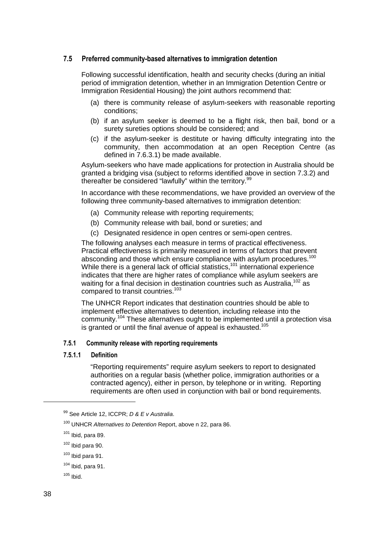# **7.5 Preferred community-based alternatives to immigration detention**

Following successful identification, health and security checks (during an initial period of immigration detention, whether in an Immigration Detention Centre or Immigration Residential Housing) the joint authors recommend that:

- (a) there is community release of asylum-seekers with reasonable reporting conditions;
- (b) if an asylum seeker is deemed to be a flight risk, then bail, bond or a surety sureties options should be considered; and
- (c) if the asylum-seeker is destitute or having difficulty integrating into the community, then accommodation at an open Reception Centre (as defined in 7.6.3.1) be made available.

Asylum-seekers who have made applications for protection in Australia should be granted a bridging visa (subject to reforms identified above in section 7.3.2) and thereafter be considered "lawfully" within the territory.<sup>99</sup>

In accordance with these recommendations, we have provided an overview of the following three community-based alternatives to immigration detention:

- (a) Community release with reporting requirements;
- (b) Community release with bail, bond or sureties; and
- (c) Designated residence in open centres or semi-open centres.

The following analyses each measure in terms of practical effectiveness. Practical effectiveness is primarily measured in terms of factors that prevent absconding and those which ensure compliance with asylum procedures.<sup>100</sup> While there is a general lack of official statistics,<sup>101</sup> international experience indicates that there are higher rates of compliance while asylum seekers are waiting for a final decision in destination countries such as Australia.<sup>102</sup> as compared to transit countries.<sup>103</sup>

The UNHCR Report indicates that destination countries should be able to implement effective alternatives to detention, including release into the community.<sup>104</sup> These alternatives ought to be implemented until a protection visa is granted or until the final avenue of appeal is exhausted.<sup>105</sup>

#### **7.5.1 Community release with reporting requirements**

#### **7.5.1.1 Definition**

"Reporting requirements" require asylum seekers to report to designated authorities on a regular basis (whether police, immigration authorities or a contracted agency), either in person, by telephone or in writing. Reporting requirements are often used in conjunction with bail or bond requirements.

 $99$  See Article 12, ICCPR; D & E v Australia.

<sup>&</sup>lt;sup>100</sup> UNHCR Alternatives to Detention Report, above n 22, para 86.

 $101$  Ibid, para 89.

 $102$  Ibid para 90.

 $103$  Ibid para 91.

 $104$  Ibid, para 91.

 $105$  Ibid.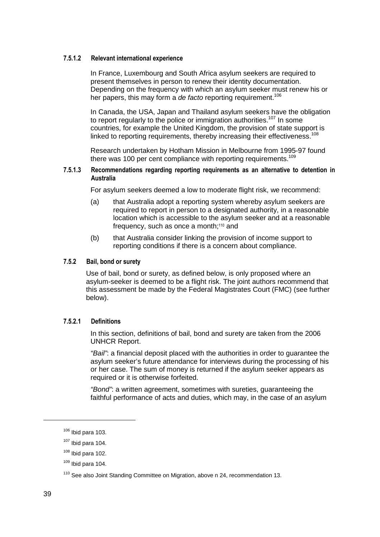#### **7.5.1.2 Relevant international experience**

In France, Luxembourg and South Africa asylum seekers are required to present themselves in person to renew their identity documentation. Depending on the frequency with which an asylum seeker must renew his or her papers, this may form a de facto reporting requirement.<sup>106</sup>

In Canada, the USA, Japan and Thailand asylum seekers have the obligation to report regularly to the police or immigration authorities.<sup>107</sup> In some countries, for example the United Kingdom, the provision of state support is linked to reporting requirements, thereby increasing their effectiveness.<sup>108</sup>

Research undertaken by Hotham Mission in Melbourne from 1995-97 found there was 100 per cent compliance with reporting requirements.<sup>109</sup>

#### **7.5.1.3 Recommendations regarding reporting requirements as an alternative to detention in Australia**

For asylum seekers deemed a low to moderate flight risk, we recommend:

- (a) that Australia adopt a reporting system whereby asylum seekers are required to report in person to a designated authority, in a reasonable location which is accessible to the asylum seeker and at a reasonable frequency, such as once a month;110 and
- (b) that Australia consider linking the provision of income support to reporting conditions if there is a concern about compliance.

## **7.5.2 Bail, bond or surety**

Use of bail, bond or surety, as defined below, is only proposed where an asylum-seeker is deemed to be a flight risk. The joint authors recommend that this assessment be made by the Federal Magistrates Court (FMC) (see further below).

#### **7.5.2.1 Definitions**

In this section, definitions of bail, bond and surety are taken from the 2006 UNHCR Report.

"Bail": a financial deposit placed with the authorities in order to quarantee the asylum seeker's future attendance for interviews during the processing of his or her case. The sum of money is returned if the asylum seeker appears as required or it is otherwise forfeited.

"Bond": a written agreement, sometimes with sureties, guaranteeing the faithful performance of acts and duties, which may, in the case of an asylum

 $106$  Ibid para 103.

 $107$  Ibid para 104.

 $108$  Ibid para 102.

 $109$  Ibid para 104.

<sup>&</sup>lt;sup>110</sup> See also Joint Standing Committee on Migration, above n 24, recommendation 13.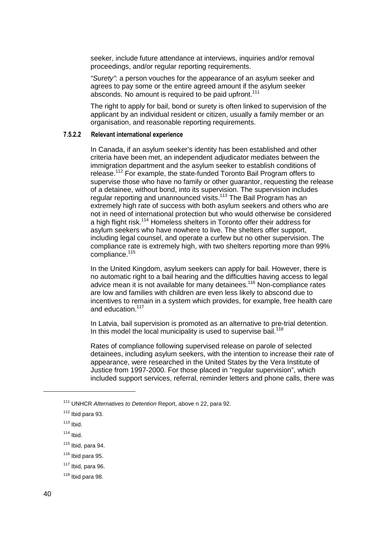seeker, include future attendance at interviews, inquiries and/or removal proceedings, and/or regular reporting requirements.

"Surety": a person vouches for the appearance of an asylum seeker and agrees to pay some or the entire agreed amount if the asylum seeker absconds. No amount is required to be paid upfront.<sup>111</sup>

The right to apply for bail, bond or surety is often linked to supervision of the applicant by an individual resident or citizen, usually a family member or an organisation, and reasonable reporting requirements.

#### **7.5.2.2 Relevant international experience**

In Canada, if an asylum seeker's identity has been established and other criteria have been met, an independent adjudicator mediates between the immigration department and the asylum seeker to establish conditions of release.<sup>112</sup> For example, the state-funded Toronto Bail Program offers to supervise those who have no family or other guarantor, requesting the release of a detainee, without bond, into its supervision. The supervision includes regular reporting and unannounced visits.<sup>113</sup> The Bail Program has an extremely high rate of success with both asylum seekers and others who are not in need of international protection but who would otherwise be considered a high flight risk.<sup>114</sup> Homeless shelters in Toronto offer their address for asylum seekers who have nowhere to live. The shelters offer support, including legal counsel, and operate a curfew but no other supervision. The compliance rate is extremely high, with two shelters reporting more than 99% compliance.<sup>115</sup>

In the United Kingdom, asylum seekers can apply for bail. However, there is no automatic right to a bail hearing and the difficulties having access to legal advice mean it is not available for many detainees.<sup>116</sup> Non-compliance rates are low and families with children are even less likely to abscond due to incentives to remain in a system which provides, for example, free health care and education.<sup>117</sup>

In Latvia, bail supervision is promoted as an alternative to pre-trial detention. In this model the local municipality is used to supervise bail.<sup>118</sup>

Rates of compliance following supervised release on parole of selected detainees, including asylum seekers, with the intention to increase their rate of appearance, were researched in the United States by the Vera Institute of Justice from 1997-2000. For those placed in "regular supervision", which included support services, referral, reminder letters and phone calls, there was

<sup>&</sup>lt;sup>111</sup> UNHCR Alternatives to Detention Report, above n 22, para 92.

 $112$  Ibid para 93.

 $113$  Ibid.

 $114$  Ibid.

 $115$  Ibid, para 94.

 $116$  Ibid para 95.

 $117$  Ibid, para 96.

 $118$  Ibid para 98.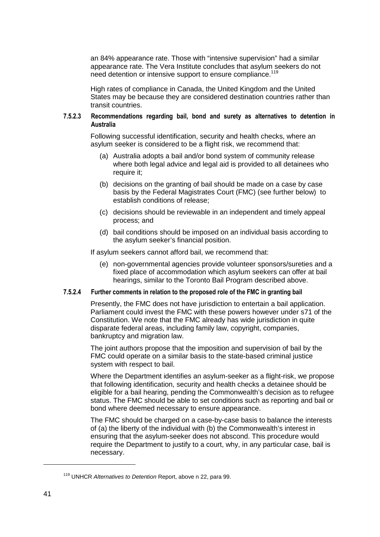an 84% appearance rate. Those with "intensive supervision" had a similar appearance rate. The Vera Institute concludes that asylum seekers do not need detention or intensive support to ensure compliance.<sup>119</sup>

High rates of compliance in Canada, the United Kingdom and the United States may be because they are considered destination countries rather than transit countries.

#### **7.5.2.3 Recommendations regarding bail, bond and surety as alternatives to detention in Australia**

Following successful identification, security and health checks, where an asylum seeker is considered to be a flight risk, we recommend that:

- (a) Australia adopts a bail and/or bond system of community release where both legal advice and legal aid is provided to all detainees who require it:
- (b) decisions on the granting of bail should be made on a case by case basis by the Federal Magistrates Court (FMC) (see further below) to establish conditions of release;
- (c) decisions should be reviewable in an independent and timely appeal process; and
- (d) bail conditions should be imposed on an individual basis according to the asylum seeker's financial position.

If asylum seekers cannot afford bail, we recommend that:

(e) non-governmental agencies provide volunteer sponsors/sureties and a fixed place of accommodation which asylum seekers can offer at bail hearings, similar to the Toronto Bail Program described above.

#### **7.5.2.4 Further comments in relation to the proposed role of the FMC in granting bail**

Presently, the FMC does not have jurisdiction to entertain a bail application. Parliament could invest the FMC with these powers however under s71 of the Constitution. We note that the FMC already has wide jurisdiction in quite disparate federal areas, including family law, copyright, companies, bankruptcy and migration law.

The joint authors propose that the imposition and supervision of bail by the FMC could operate on a similar basis to the state-based criminal justice system with respect to bail.

Where the Department identifies an asylum-seeker as a flight-risk, we propose that following identification, security and health checks a detainee should be eligible for a bail hearing, pending the Commonwealth's decision as to refugee status. The FMC should be able to set conditions such as reporting and bail or bond where deemed necessary to ensure appearance.

The FMC should be charged on a case-by-case basis to balance the interests of (a) the liberty of the individual with (b) the Commonwealth's interest in ensuring that the asylum-seeker does not abscond. This procedure would require the Department to justify to a court, why, in any particular case, bail is necessary.

<sup>&</sup>lt;sup>119</sup> UNHCR Alternatives to Detention Report, above n 22, para 99.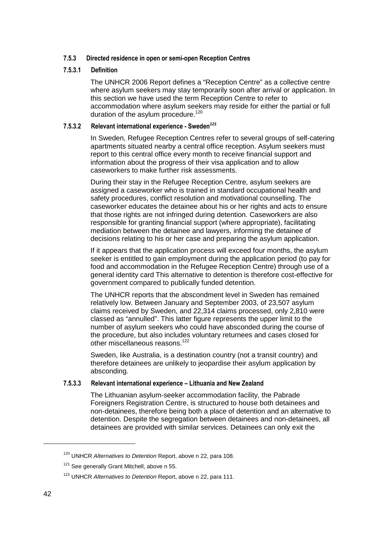## **7.5.3 Directed residence in open or semi-open Reception Centres**

#### **7.5.3.1 Definition**

The UNHCR 2006 Report defines a "Reception Centre" as a collective centre where asylum seekers may stay temporarily soon after arrival or application. In this section we have used the term Reception Centre to refer to accommodation where asylum seekers may reside for either the partial or full duration of the asylum procedure.<sup>120</sup>

# **7.5.3.2 Relevant international experience - Sweden<sup>121</sup>**

In Sweden, Refugee Reception Centres refer to several groups of self-catering apartments situated nearby a central office reception. Asylum seekers must report to this central office every month to receive financial support and information about the progress of their visa application and to allow caseworkers to make further risk assessments.

During their stay in the Refugee Reception Centre, asylum seekers are assigned a caseworker who is trained in standard occupational health and safety procedures, conflict resolution and motivational counselling. The caseworker educates the detainee about his or her rights and acts to ensure that those rights are not infringed during detention. Caseworkers are also responsible for granting financial support (where appropriate), facilitating mediation between the detainee and lawyers, informing the detainee of decisions relating to his or her case and preparing the asylum application.

If it appears that the application process will exceed four months, the asylum seeker is entitled to gain employment during the application period (to pay for food and accommodation in the Refugee Reception Centre) through use of a general identity card This alternative to detention is therefore cost-effective for government compared to publically funded detention.

The UNHCR reports that the abscondment level in Sweden has remained relatively low. Between January and September 2003, of 23,507 asylum claims received by Sweden, and 22,314 claims processed, only 2,810 were classed as "annulled". This latter figure represents the upper limit to the number of asylum seekers who could have absconded during the course of the procedure, but also includes voluntary returnees and cases closed for other miscellaneous reasons.<sup>122</sup>

Sweden, like Australia, is a destination country (not a transit country) and therefore detainees are unlikely to jeopardise their asylum application by absconding.

#### **7.5.3.3 Relevant international experience – Lithuania and New Zealand**

The Lithuanian asylum-seeker accommodation facility, the Pabrade Foreigners Registration Centre, is structured to house both detainees and non-detainees, therefore being both a place of detention and an alternative to detention. Despite the segregation between detainees and non-detainees, all detainees are provided with similar services. Detainees can only exit the

<sup>&</sup>lt;sup>120</sup> UNHCR Alternatives to Detention Report, above n 22, para 108.

<sup>&</sup>lt;sup>121</sup> See generally Grant Mitchell, above n 55.

<sup>&</sup>lt;sup>122</sup> UNHCR Alternatives to Detention Report, above n 22, para 111.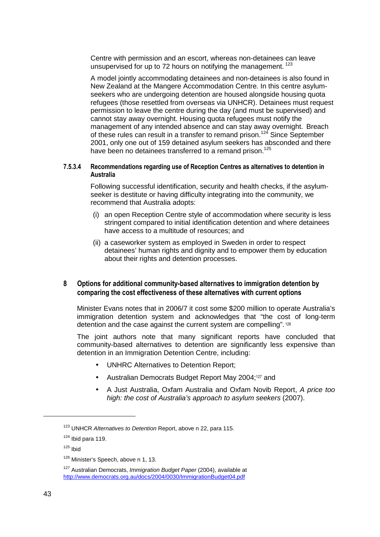Centre with permission and an escort, whereas non-detainees can leave unsupervised for up to 72 hours on notifying the management.  $123$ 

A model jointly accommodating detainees and non-detainees is also found in New Zealand at the Mangere Accommodation Centre. In this centre asylumseekers who are undergoing detention are housed alongside housing quota refugees (those resettled from overseas via UNHCR). Detainees must request permission to leave the centre during the day (and must be supervised) and cannot stay away overnight. Housing quota refugees must notify the management of any intended absence and can stay away overnight. Breach of these rules can result in a transfer to remand prison.<sup>124</sup> Since September 2001, only one out of 159 detained asylum seekers has absconded and there have been no detainees transferred to a remand prison.<sup>125</sup>

#### **7.5.3.4 Recommendations regarding use of Reception Centres as alternatives to detention in Australia**

Following successful identification, security and health checks, if the asylumseeker is destitute or having difficulty integrating into the community, we recommend that Australia adopts:

- (i) an open Reception Centre style of accommodation where security is less stringent compared to initial identification detention and where detainees have access to a multitude of resources; and
- (ii) a caseworker system as employed in Sweden in order to respect detainees' human rights and dignity and to empower them by education about their rights and detention processes.

# **8 Options for additional community-based alternatives to immigration detention by comparing the cost effectiveness of these alternatives with current options**

Minister Evans notes that in 2006/7 it cost some \$200 million to operate Australia's immigration detention system and acknowledges that "the cost of long-term detention and the case against the current system are compelling". 126

The joint authors note that many significant reports have concluded that community-based alternatives to detention are significantly less expensive than detention in an Immigration Detention Centre, including:

- UNHRC Alternatives to Detention Report;
- Australian Democrats Budget Report May 2004;127 and
- A Just Australia, Oxfam Australia and Oxfam Novib Report, A price too high: the cost of Australia's approach to asylum seekers (2007).

<sup>&</sup>lt;sup>123</sup> UNHCR Alternatives to Detention Report, above n 22, para 115.

 $124$  Ibid para 119.

 $125$  Ibid

<sup>&</sup>lt;sup>126</sup> Minister's Speech, above n 1, 13.

<sup>&</sup>lt;sup>127</sup> Australian Democrats, Immigration Budget Paper (2004), available at http://www.democrats.org.au/docs/2004/0030/ImmigrationBudget04.pdf